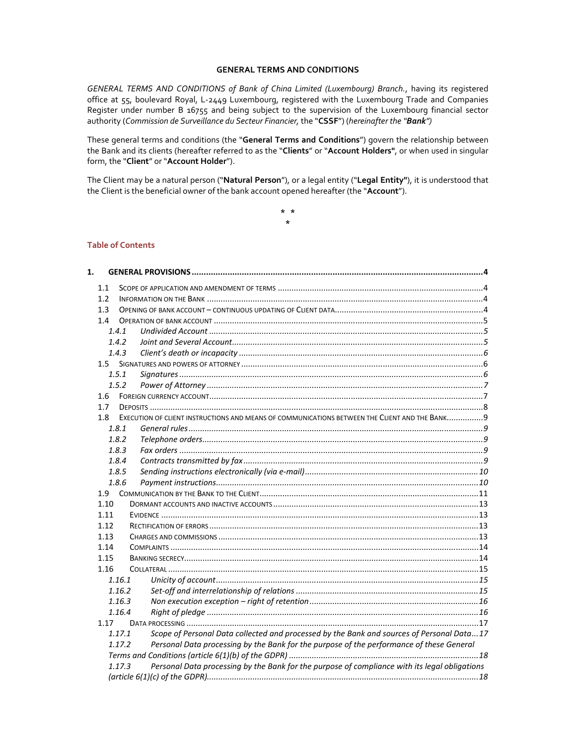#### **GENERAL TERMS AND CONDITIONS**

*GENERAL TERMS AND CONDITIONS of Bank of China Limited (Luxembourg) Branch.*, having its registered office at 55, boulevard Royal, L‐2449 Luxembourg, registered with the Luxembourg Trade and Companies Register under number B 16755 and being subject to the supervision of the Luxembourg financial sector authority (*Commission de Surveillance du Secteur Financier,* the "**CSSF**") (*hereinafter the "Bank")*

These general terms and conditions (the "**General Terms and Conditions**") govern the relationship between the Bank and its clients (hereafter referred to as the "**Clients**" or "**Account Holders"**, or when used in singular form, the "**Client**" or "**Account Holder**").

The Client may be a natural person ("**Natural Person**"), or a legal entity ("**Legal Entity"**), it is understood that the Client is the beneficial owner of the bank account opened hereafter (the "**Account**").

> **\* \* \***

## **Table of Contents**

| 1.   |                  |        |                                                                                                |  |  |  |  |
|------|------------------|--------|------------------------------------------------------------------------------------------------|--|--|--|--|
|      | 1.1              |        |                                                                                                |  |  |  |  |
|      | 1.2 <sub>2</sub> |        |                                                                                                |  |  |  |  |
| 1.3  |                  |        |                                                                                                |  |  |  |  |
|      | 1.4              |        |                                                                                                |  |  |  |  |
|      |                  | 1.4.1  |                                                                                                |  |  |  |  |
|      |                  | 1.4.2  |                                                                                                |  |  |  |  |
|      |                  | 1.4.3  |                                                                                                |  |  |  |  |
|      |                  |        |                                                                                                |  |  |  |  |
|      |                  | 1.5.1  |                                                                                                |  |  |  |  |
|      |                  | 1.5.2  |                                                                                                |  |  |  |  |
|      | 1.6              |        |                                                                                                |  |  |  |  |
|      | 1.7              |        |                                                                                                |  |  |  |  |
|      | 1.8              |        | EXECUTION OF CLIENT INSTRUCTIONS AND MEANS OF COMMUNICATIONS BETWEEN THE CLIENT AND THE BANK 9 |  |  |  |  |
|      |                  | 1.8.1  |                                                                                                |  |  |  |  |
|      |                  | 1.8.2  |                                                                                                |  |  |  |  |
|      |                  | 1.8.3  |                                                                                                |  |  |  |  |
|      |                  | 1.8.4  |                                                                                                |  |  |  |  |
|      |                  | 1.8.5  |                                                                                                |  |  |  |  |
|      |                  | 1.8.6  |                                                                                                |  |  |  |  |
|      | 1.9              |        |                                                                                                |  |  |  |  |
|      | 1.10             |        |                                                                                                |  |  |  |  |
|      | 1.11             |        |                                                                                                |  |  |  |  |
|      | 1.12             |        |                                                                                                |  |  |  |  |
|      | 1.13             |        |                                                                                                |  |  |  |  |
|      | 1.14             |        |                                                                                                |  |  |  |  |
|      | 1.15             |        |                                                                                                |  |  |  |  |
| 1.16 |                  |        |                                                                                                |  |  |  |  |
|      |                  | 1.16.1 |                                                                                                |  |  |  |  |
|      |                  | 1.16.2 |                                                                                                |  |  |  |  |
|      |                  | 1.16.3 |                                                                                                |  |  |  |  |
|      |                  | 1.16.4 |                                                                                                |  |  |  |  |
|      | 1.17             |        |                                                                                                |  |  |  |  |
|      |                  | 1.17.1 | Scope of Personal Data collected and processed by the Bank and sources of Personal Data17      |  |  |  |  |
|      |                  | 1.17.2 | Personal Data processing by the Bank for the purpose of the performance of these General       |  |  |  |  |
|      |                  |        |                                                                                                |  |  |  |  |
|      |                  | 1.17.3 | Personal Data processing by the Bank for the purpose of compliance with its legal obligations  |  |  |  |  |
|      |                  |        |                                                                                                |  |  |  |  |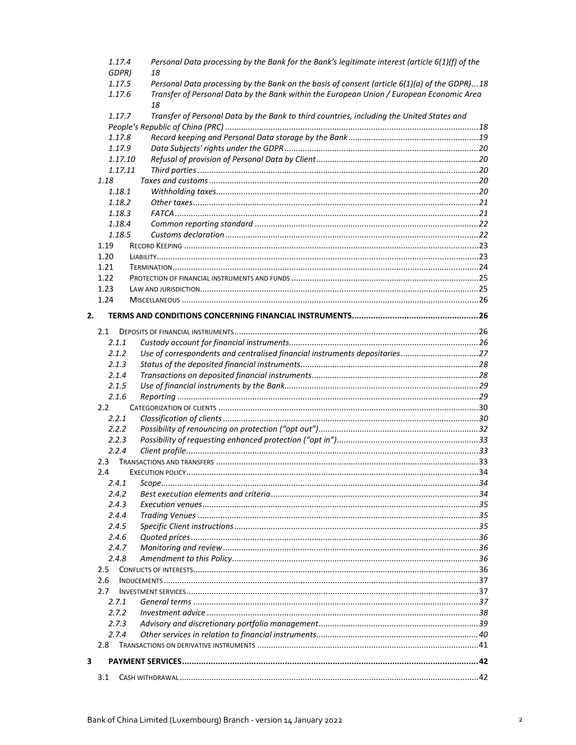|    | 1.17.4<br>GDPR) | Personal Data processing by the Bank for the Bank's legitimate interest (article 6(1)(f) of the<br>18                                                                                    |  |  |
|----|-----------------|------------------------------------------------------------------------------------------------------------------------------------------------------------------------------------------|--|--|
|    | 1.17.5          | Personal Data processing by the Bank on the basis of consent (article 6(1)(a) of the GDPR)18<br>Transfer of Personal Data by the Bank within the European Union / European Economic Area |  |  |
|    | 1.17.6          |                                                                                                                                                                                          |  |  |
|    | 1.17.7          | 18<br>Transfer of Personal Data by the Bank to third countries, including the United States and                                                                                          |  |  |
|    |                 |                                                                                                                                                                                          |  |  |
|    | 1.17.8          |                                                                                                                                                                                          |  |  |
|    | 1.17.9          |                                                                                                                                                                                          |  |  |
|    | 1.17.10         |                                                                                                                                                                                          |  |  |
|    | 1.17.11         |                                                                                                                                                                                          |  |  |
|    | 1.18            |                                                                                                                                                                                          |  |  |
|    | 1.18.1          |                                                                                                                                                                                          |  |  |
|    | 1.18.2          |                                                                                                                                                                                          |  |  |
|    | 1.18.3          |                                                                                                                                                                                          |  |  |
|    | 1.18.4          |                                                                                                                                                                                          |  |  |
|    | 1.18.5          |                                                                                                                                                                                          |  |  |
|    | 1.19            |                                                                                                                                                                                          |  |  |
|    | 1.20            |                                                                                                                                                                                          |  |  |
|    | 1.21            |                                                                                                                                                                                          |  |  |
|    | 1.22            |                                                                                                                                                                                          |  |  |
|    | 1.23            |                                                                                                                                                                                          |  |  |
|    | 1.24            |                                                                                                                                                                                          |  |  |
| 2. |                 |                                                                                                                                                                                          |  |  |
|    |                 |                                                                                                                                                                                          |  |  |
|    | 2.1             |                                                                                                                                                                                          |  |  |
|    | 2.1.1           |                                                                                                                                                                                          |  |  |
|    | 2.1.2           | Use of correspondents and centralised financial instruments depositaries27                                                                                                               |  |  |
|    | 2.1.3           |                                                                                                                                                                                          |  |  |
|    | 2.1.4<br>2.1.5  |                                                                                                                                                                                          |  |  |
|    | 2.1.6           |                                                                                                                                                                                          |  |  |
|    | $2.2^{\circ}$   |                                                                                                                                                                                          |  |  |
|    | 2.2.1           |                                                                                                                                                                                          |  |  |
|    | 2.2.2           |                                                                                                                                                                                          |  |  |
|    | 2.2.3           |                                                                                                                                                                                          |  |  |
|    | 2.2.4           |                                                                                                                                                                                          |  |  |
|    | 2.3             |                                                                                                                                                                                          |  |  |
|    | 2.4             |                                                                                                                                                                                          |  |  |
|    | 2.4.1           |                                                                                                                                                                                          |  |  |
|    | 2.4.2           |                                                                                                                                                                                          |  |  |
|    | 2.4.3           |                                                                                                                                                                                          |  |  |
|    | 2.4.4           |                                                                                                                                                                                          |  |  |
|    | 2.4.5           |                                                                                                                                                                                          |  |  |
|    | 2.4.6           |                                                                                                                                                                                          |  |  |
|    | 2.4.7           |                                                                                                                                                                                          |  |  |
|    | 2.4.8           |                                                                                                                                                                                          |  |  |
|    | 2.5             |                                                                                                                                                                                          |  |  |
|    | 2.6             |                                                                                                                                                                                          |  |  |
|    | 2.7             |                                                                                                                                                                                          |  |  |
|    | 2.7.1           |                                                                                                                                                                                          |  |  |
|    | 2.7.2           |                                                                                                                                                                                          |  |  |
|    | 2.7.3           |                                                                                                                                                                                          |  |  |
|    | 2.7.4           |                                                                                                                                                                                          |  |  |
|    | 2.8             |                                                                                                                                                                                          |  |  |
| 3  |                 |                                                                                                                                                                                          |  |  |
|    |                 |                                                                                                                                                                                          |  |  |
|    |                 |                                                                                                                                                                                          |  |  |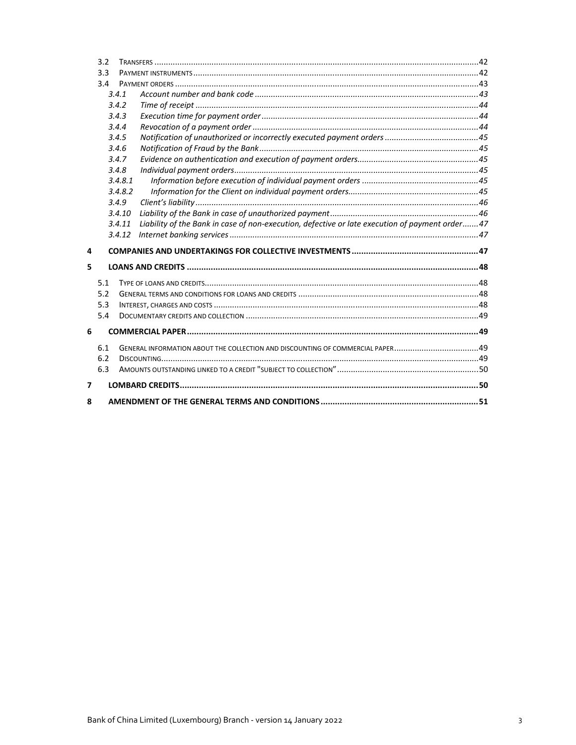|                         | 3.2 |                                                                                |                                                                                                |  |  |  |
|-------------------------|-----|--------------------------------------------------------------------------------|------------------------------------------------------------------------------------------------|--|--|--|
|                         | 3.3 |                                                                                |                                                                                                |  |  |  |
| 3.4                     |     |                                                                                |                                                                                                |  |  |  |
|                         |     | 3.4.1                                                                          |                                                                                                |  |  |  |
|                         |     | 3.4.2                                                                          |                                                                                                |  |  |  |
|                         |     | 3.4.3                                                                          |                                                                                                |  |  |  |
|                         |     | 3.4.4                                                                          |                                                                                                |  |  |  |
|                         |     | 3.4.5                                                                          |                                                                                                |  |  |  |
|                         |     | 3.4.6<br>3.4.7                                                                 |                                                                                                |  |  |  |
|                         |     |                                                                                |                                                                                                |  |  |  |
|                         |     | 3.4.8                                                                          |                                                                                                |  |  |  |
|                         |     | 3.4.8.1                                                                        |                                                                                                |  |  |  |
|                         |     | 3.4.8.2                                                                        |                                                                                                |  |  |  |
|                         |     | 3.4.9                                                                          |                                                                                                |  |  |  |
|                         |     | 3.4.10                                                                         |                                                                                                |  |  |  |
|                         |     | 3.4.11                                                                         | Liability of the Bank in case of non-execution, defective or late execution of payment order47 |  |  |  |
|                         |     | 3.4.12                                                                         |                                                                                                |  |  |  |
| 4                       |     |                                                                                |                                                                                                |  |  |  |
| 5                       |     |                                                                                |                                                                                                |  |  |  |
|                         | 5.1 |                                                                                |                                                                                                |  |  |  |
|                         | 5.2 |                                                                                |                                                                                                |  |  |  |
|                         | 5.3 |                                                                                |                                                                                                |  |  |  |
|                         | 5.4 |                                                                                |                                                                                                |  |  |  |
| 6                       |     |                                                                                |                                                                                                |  |  |  |
| 6.1                     |     | GENERAL INFORMATION ABOUT THE COLLECTION AND DISCOUNTING OF COMMERCIAL PAPER49 |                                                                                                |  |  |  |
|                         | 6.2 |                                                                                |                                                                                                |  |  |  |
|                         | 6.3 |                                                                                |                                                                                                |  |  |  |
| $\overline{\mathbf{z}}$ |     |                                                                                |                                                                                                |  |  |  |
| 8                       |     |                                                                                |                                                                                                |  |  |  |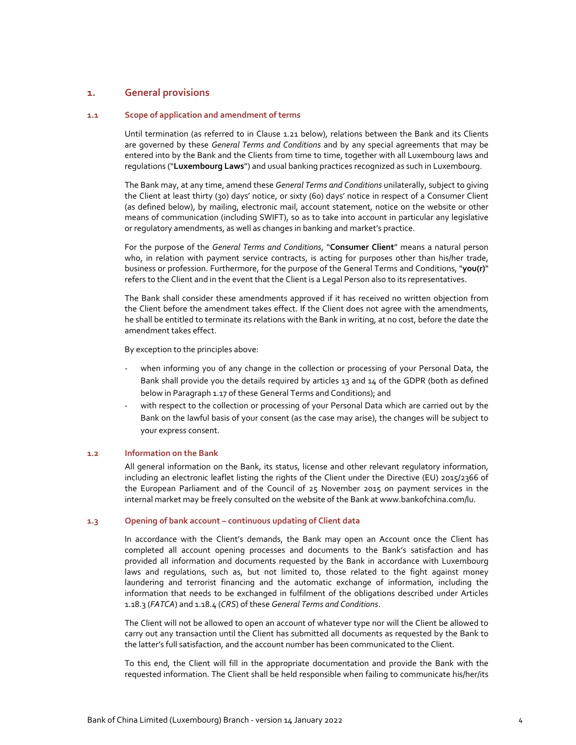# **1. General provisions**

### **1.1 Scope of application and amendment of terms**

Until termination (as referred to in Clause 1.21 below), relations between the Bank and its Clients are governed by these *General Terms and Conditions* and by any special agreements that may be entered into by the Bank and the Clients from time to time, together with all Luxembourg laws and regulations ("**Luxembourg Laws**") and usual banking practices recognized as such in Luxembourg.

The Bank may, at any time, amend these *General Terms and Conditions* unilaterally, subject to giving the Client at least thirty (30) days' notice, or sixty (60) days' notice in respect of a Consumer Client (as defined below), by mailing, electronic mail, account statement, notice on the website or other means of communication (including SWIFT), so as to take into account in particular any legislative or regulatory amendments, as well as changes in banking and market's practice.

For the purpose of the *General Terms and Conditions*, "**Consumer Client**" means a natural person who, in relation with payment service contracts, is acting for purposes other than his/her trade, business or profession. Furthermore, for the purpose of the General Terms and Conditions, "**you(r)**" refers to the Client and in the event that the Client is a Legal Person also to its representatives.

The Bank shall consider these amendments approved if it has received no written objection from the Client before the amendment takes effect. If the Client does not agree with the amendments, he shall be entitled to terminate its relations with the Bank in writing, at no cost, before the date the amendment takes effect.

By exception to the principles above:

- when informing you of any change in the collection or processing of your Personal Data, the Bank shall provide you the details required by articles 13 and 14 of the GDPR (both as defined below in Paragraph 1.17 of these General Terms and Conditions); and
- with respect to the collection or processing of your Personal Data which are carried out by the Bank on the lawful basis of your consent (as the case may arise), the changes will be subject to your express consent.

#### **1.2 Information on the Bank**

All general information on the Bank, its status, license and other relevant regulatory information, including an electronic leaflet listing the rights of the Client under the Directive (EU) 2015/2366 of the European Parliament and of the Council of 25 November 2015 on payment services in the internal market may be freely consulted on the website of the Bank at www.bankofchina.com/lu.

#### **1.3 Opening of bank account – continuous updating of Client data**

In accordance with the Client's demands, the Bank may open an Account once the Client has completed all account opening processes and documents to the Bank's satisfaction and has provided all information and documents requested by the Bank in accordance with Luxembourg laws and regulations, such as, but not limited to, those related to the fight against money laundering and terrorist financing and the automatic exchange of information, including the information that needs to be exchanged in fulfilment of the obligations described under Articles 1.18.3 (*FATCA*) and 1.18.4 (*CRS*) of these *General Terms and Conditions*.

The Client will not be allowed to open an account of whatever type nor will the Client be allowed to carry out any transaction until the Client has submitted all documents as requested by the Bank to the latter's full satisfaction, and the account number has been communicated to the Client.

To this end, the Client will fill in the appropriate documentation and provide the Bank with the requested information. The Client shall be held responsible when failing to communicate his/her/its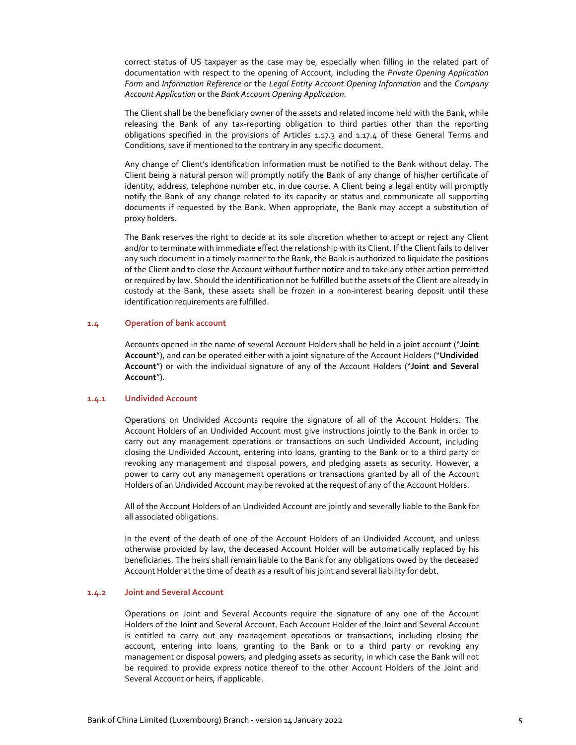correct status of US taxpayer as the case may be, especially when filling in the related part of documentation with respect to the opening of Account, including the *Private Opening Application Form* and *Information Reference* or the *Legal Entity Account Opening Information* and the *Company Account Application* or the *Bank Account Opening Application*.

The Client shall be the beneficiary owner of the assets and related income held with the Bank, while releasing the Bank of any tax-reporting obligation to third parties other than the reporting obligations specified in the provisions of Articles 1.17.3 and 1.17.4 of these General Terms and Conditions, save if mentioned to the contrary in any specific document.

Any change of Client's identification information must be notified to the Bank without delay. The Client being a natural person will promptly notify the Bank of any change of his/her certificate of identity, address, telephone number etc. in due course. A Client being a legal entity will promptly notify the Bank of any change related to its capacity or status and communicate all supporting documents if requested by the Bank. When appropriate, the Bank may accept a substitution of proxy holders.

The Bank reserves the right to decide at its sole discretion whether to accept or reject any Client and/or to terminate with immediate effect the relationship with its Client. If the Client fails to deliver any such document in a timely manner to the Bank, the Bank is authorized to liquidate the positions of the Client and to close the Account without further notice and to take any other action permitted or required by law. Should the identification not be fulfilled but the assets of the Client are already in custody at the Bank, these assets shall be frozen in a non‐interest bearing deposit until these identification requirements are fulfilled.

#### **1.4 Operation of bank account**

Accounts opened in the name of several Account Holders shall be held in a joint account ("**Joint Account**"), and can be operated either with a joint signature of the Account Holders ("**Undivided Account**") or with the individual signature of any of the Account Holders ("**Joint and Several Account**").

## **1.4.1 Undivided Account**

Operations on Undivided Accounts require the signature of all of the Account Holders. The Account Holders of an Undivided Account must give instructions jointly to the Bank in order to carry out any management operations or transactions on such Undivided Account, including closing the Undivided Account, entering into loans, granting to the Bank or to a third party or revoking any management and disposal powers, and pledging assets as security. However, a power to carry out any management operations or transactions granted by all of the Account Holders of an Undivided Account may be revoked at the request of any of the Account Holders.

All of the Account Holders of an Undivided Account are jointly and severally liable to the Bank for all associated obligations.

In the event of the death of one of the Account Holders of an Undivided Account, and unless otherwise provided by law, the deceased Account Holder will be automatically replaced by his beneficiaries. The heirs shall remain liable to the Bank for any obligations owed by the deceased Account Holder at the time of death as a result of his joint and several liability for debt.

## **1.4.2 Joint and Several Account**

Operations on Joint and Several Accounts require the signature of any one of the Account Holders of the Joint and Several Account. Each Account Holder of the Joint and Several Account is entitled to carry out any management operations or transactions, including closing the account, entering into loans, granting to the Bank or to a third party or revoking any management or disposal powers, and pledging assets as security, in which case the Bank will not be required to provide express notice thereof to the other Account Holders of the Joint and Several Account or heirs, if applicable.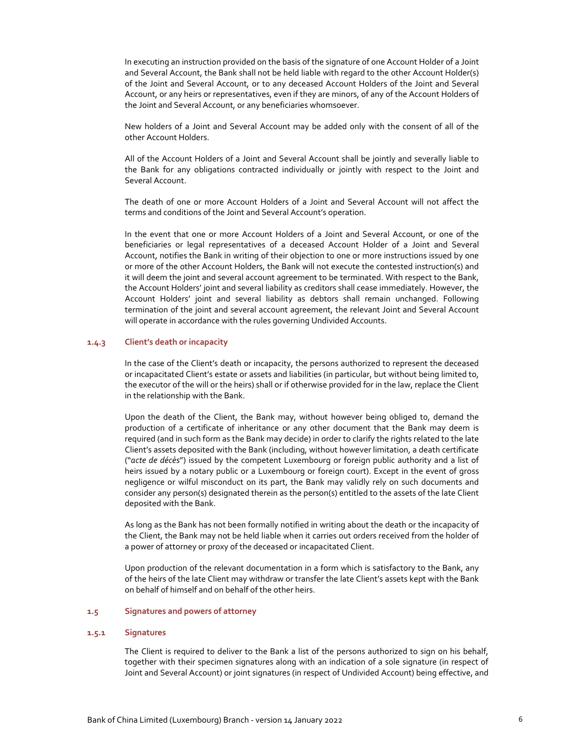In executing an instruction provided on the basis of the signature of one Account Holder of a Joint and Several Account, the Bank shall not be held liable with regard to the other Account Holder(s) of the Joint and Several Account, or to any deceased Account Holders of the Joint and Several Account, or any heirs or representatives, even if they are minors, of any of the Account Holders of the Joint and Several Account, or any beneficiaries whomsoever.

New holders of a Joint and Several Account may be added only with the consent of all of the other Account Holders.

All of the Account Holders of a Joint and Several Account shall be jointly and severally liable to the Bank for any obligations contracted individually or jointly with respect to the Joint and Several Account.

The death of one or more Account Holders of a Joint and Several Account will not affect the terms and conditions of the Joint and Several Account's operation.

In the event that one or more Account Holders of a Joint and Several Account, or one of the beneficiaries or legal representatives of a deceased Account Holder of a Joint and Several Account, notifies the Bank in writing of their objection to one or more instructions issued by one or more of the other Account Holders, the Bank will not execute the contested instruction(s) and it will deem the joint and several account agreement to be terminated. With respect to the Bank, the Account Holders' joint and several liability as creditors shall cease immediately. However, the Account Holders' joint and several liability as debtors shall remain unchanged. Following termination of the joint and several account agreement, the relevant Joint and Several Account will operate in accordance with the rules governing Undivided Accounts.

#### **1.4.3 Client's death or incapacity**

In the case of the Client's death or incapacity, the persons authorized to represent the deceased or incapacitated Client's estate or assets and liabilities (in particular, but without being limited to, the executor of the will or the heirs) shall or if otherwise provided for in the law, replace the Client in the relationship with the Bank.

Upon the death of the Client, the Bank may, without however being obliged to, demand the production of a certificate of inheritance or any other document that the Bank may deem is required (and in such form as the Bank may decide) in order to clarify the rights related to the late Client's assets deposited with the Bank (including, without however limitation, a death certificate ("*acte de décès*") issued by the competent Luxembourg or foreign public authority and a list of heirs issued by a notary public or a Luxembourg or foreign court). Except in the event of gross negligence or wilful misconduct on its part, the Bank may validly rely on such documents and consider any person(s) designated therein as the person(s) entitled to the assets of the late Client deposited with the Bank.

As long as the Bank has not been formally notified in writing about the death or the incapacity of the Client, the Bank may not be held liable when it carries out orders received from the holder of a power of attorney or proxy of the deceased or incapacitated Client.

Upon production of the relevant documentation in a form which is satisfactory to the Bank, any of the heirs of the late Client may withdraw or transfer the late Client's assets kept with the Bank on behalf of himself and on behalf of the other heirs.

## **1.5 Signatures and powers of attorney**

#### **1.5.1 Signatures**

The Client is required to deliver to the Bank a list of the persons authorized to sign on his behalf, together with their specimen signatures along with an indication of a sole signature (in respect of Joint and Several Account) or joint signatures (in respect of Undivided Account) being effective, and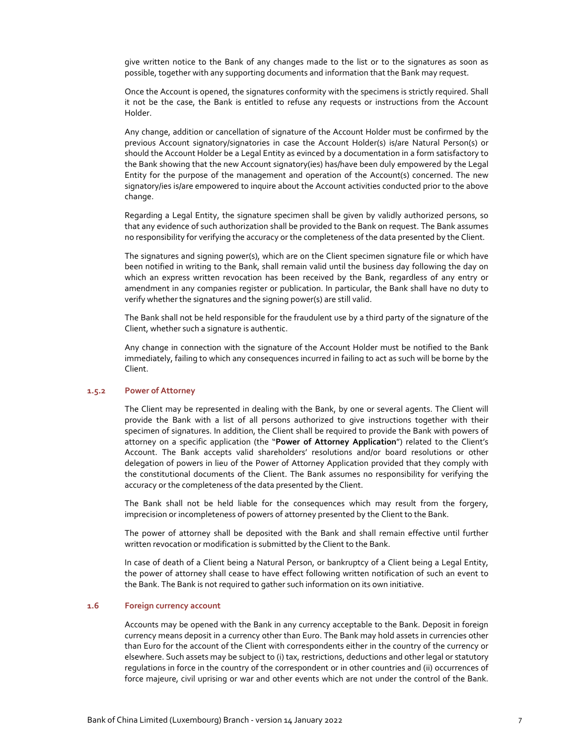give written notice to the Bank of any changes made to the list or to the signatures as soon as possible, together with any supporting documents and information that the Bank may request.

Once the Account is opened, the signatures conformity with the specimens is strictly required. Shall it not be the case, the Bank is entitled to refuse any requests or instructions from the Account Holder.

Any change, addition or cancellation of signature of the Account Holder must be confirmed by the previous Account signatory/signatories in case the Account Holder(s) is/are Natural Person(s) or should the Account Holder be a Legal Entity as evinced by a documentation in a form satisfactory to the Bank showing that the new Account signatory(ies) has/have been duly empowered by the Legal Entity for the purpose of the management and operation of the Account(s) concerned. The new signatory/ies is/are empowered to inquire about the Account activities conducted prior to the above change.

Regarding a Legal Entity, the signature specimen shall be given by validly authorized persons, so that any evidence of such authorization shall be provided to the Bank on request. The Bank assumes no responsibility for verifying the accuracy or the completeness of the data presented by the Client.

The signatures and signing power(s), which are on the Client specimen signature file or which have been notified in writing to the Bank, shall remain valid until the business day following the day on which an express written revocation has been received by the Bank, regardless of any entry or amendment in any companies register or publication. In particular, the Bank shall have no duty to verify whether the signatures and the signing power(s) are still valid.

The Bank shall not be held responsible for the fraudulent use by a third party of the signature of the Client, whether such a signature is authentic.

Any change in connection with the signature of the Account Holder must be notified to the Bank immediately, failing to which any consequences incurred in failing to act as such will be borne by the Client.

## **1.5.2 Power of Attorney**

The Client may be represented in dealing with the Bank, by one or several agents. The Client will provide the Bank with a list of all persons authorized to give instructions together with their specimen of signatures. In addition, the Client shall be required to provide the Bank with powers of attorney on a specific application (the "**Power of Attorney Application**") related to the Client's Account. The Bank accepts valid shareholders' resolutions and/or board resolutions or other delegation of powers in lieu of the Power of Attorney Application provided that they comply with the constitutional documents of the Client. The Bank assumes no responsibility for verifying the accuracy or the completeness of the data presented by the Client.

The Bank shall not be held liable for the consequences which may result from the forgery, imprecision or incompleteness of powers of attorney presented by the Client to the Bank.

The power of attorney shall be deposited with the Bank and shall remain effective until further written revocation or modification is submitted by the Client to the Bank.

In case of death of a Client being a Natural Person, or bankruptcy of a Client being a Legal Entity, the power of attorney shall cease to have effect following written notification of such an event to the Bank. The Bank is not required to gather such information on its own initiative.

## **1.6 Foreign currency account**

Accounts may be opened with the Bank in any currency acceptable to the Bank. Deposit in foreign currency means deposit in a currency other than Euro. The Bank may hold assets in currencies other than Euro for the account of the Client with correspondents either in the country of the currency or elsewhere. Such assets may be subject to (i) tax, restrictions, deductions and other legal or statutory regulations in force in the country of the correspondent or in other countries and (ii) occurrences of force majeure, civil uprising or war and other events which are not under the control of the Bank.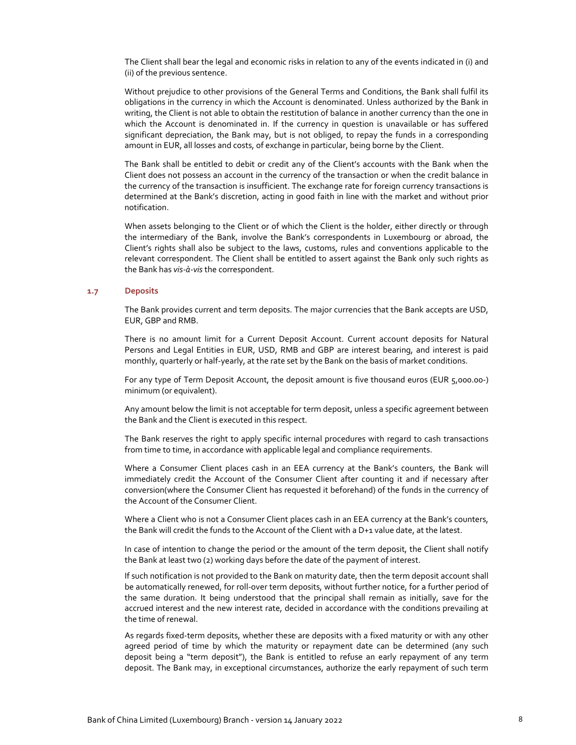The Client shall bear the legal and economic risks in relation to any of the events indicated in (i) and (ii) of the previous sentence.

Without prejudice to other provisions of the General Terms and Conditions, the Bank shall fulfil its obligations in the currency in which the Account is denominated. Unless authorized by the Bank in writing, the Client is not able to obtain the restitution of balance in another currency than the one in which the Account is denominated in. If the currency in question is unavailable or has suffered significant depreciation, the Bank may, but is not obliged, to repay the funds in a corresponding amount in EUR, all losses and costs, of exchange in particular, being borne by the Client.

The Bank shall be entitled to debit or credit any of the Client's accounts with the Bank when the Client does not possess an account in the currency of the transaction or when the credit balance in the currency of the transaction is insufficient. The exchange rate for foreign currency transactions is determined at the Bank's discretion, acting in good faith in line with the market and without prior notification.

When assets belonging to the Client or of which the Client is the holder, either directly or through the intermediary of the Bank, involve the Bank's correspondents in Luxembourg or abroad, the Client's rights shall also be subject to the laws, customs, rules and conventions applicable to the relevant correspondent. The Client shall be entitled to assert against the Bank only such rights as the Bank has *vis‐à‐vis* the correspondent.

### **1.7 Deposits**

The Bank provides current and term deposits. The major currencies that the Bank accepts are USD, EUR, GBP and RMB.

There is no amount limit for a Current Deposit Account. Current account deposits for Natural Persons and Legal Entities in EUR, USD, RMB and GBP are interest bearing, and interest is paid monthly, quarterly or half-yearly, at the rate set by the Bank on the basis of market conditions.

For any type of Term Deposit Account, the deposit amount is five thousand euros (EUR 5,000.00‐) minimum (or equivalent).

Any amount below the limit is not acceptable for term deposit, unless a specific agreement between the Bank and the Client is executed in this respect.

The Bank reserves the right to apply specific internal procedures with regard to cash transactions from time to time, in accordance with applicable legal and compliance requirements.

Where a Consumer Client places cash in an EEA currency at the Bank's counters, the Bank will immediately credit the Account of the Consumer Client after counting it and if necessary after conversion(where the Consumer Client has requested it beforehand) of the funds in the currency of the Account of the Consumer Client.

Where a Client who is not a Consumer Client places cash in an EEA currency at the Bank's counters, the Bank will credit the funds to the Account of the Client with a D+1 value date, at the latest.

In case of intention to change the period or the amount of the term deposit, the Client shall notify the Bank at least two (2) working days before the date of the payment of interest.

If such notification is not provided to the Bank on maturity date, then the term deposit account shall be automatically renewed, for roll-over term deposits, without further notice, for a further period of the same duration. It being understood that the principal shall remain as initially, save for the accrued interest and the new interest rate, decided in accordance with the conditions prevailing at the time of renewal.

As regards fixed‐term deposits, whether these are deposits with a fixed maturity or with any other agreed period of time by which the maturity or repayment date can be determined (any such deposit being a "term deposit"), the Bank is entitled to refuse an early repayment of any term deposit. The Bank may, in exceptional circumstances, authorize the early repayment of such term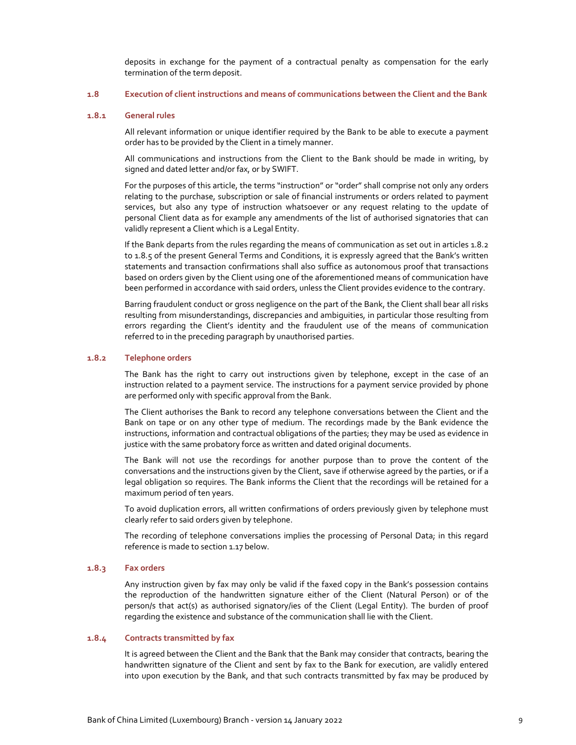deposits in exchange for the payment of a contractual penalty as compensation for the early termination of the term deposit.

#### **1.8 Execution of client instructions and means of communications between the Client and the Bank**

#### **1.8.1 General rules**

All relevant information or unique identifier required by the Bank to be able to execute a payment order has to be provided by the Client in a timely manner.

All communications and instructions from the Client to the Bank should be made in writing, by signed and dated letter and/or fax, or by SWIFT.

For the purposes of this article, the terms "instruction" or "order" shall comprise not only any orders relating to the purchase, subscription or sale of financial instruments or orders related to payment services, but also any type of instruction whatsoever or any request relating to the update of personal Client data as for example any amendments of the list of authorised signatories that can validly represent a Client which is a Legal Entity.

If the Bank departs from the rules regarding the means of communication as set out in articles 1.8.2 to 1.8.5 of the present General Terms and Conditions, it is expressly agreed that the Bank's written statements and transaction confirmations shall also suffice as autonomous proof that transactions based on orders given by the Client using one of the aforementioned means of communication have been performed in accordance with said orders, unless the Client provides evidence to the contrary.

Barring fraudulent conduct or gross negligence on the part of the Bank, the Client shall bear all risks resulting from misunderstandings, discrepancies and ambiguities, in particular those resulting from errors regarding the Client's identity and the fraudulent use of the means of communication referred to in the preceding paragraph by unauthorised parties.

#### **1.8.2 Telephone orders**

The Bank has the right to carry out instructions given by telephone, except in the case of an instruction related to a payment service. The instructions for a payment service provided by phone are performed only with specific approval from the Bank.

The Client authorises the Bank to record any telephone conversations between the Client and the Bank on tape or on any other type of medium. The recordings made by the Bank evidence the instructions, information and contractual obligations of the parties; they may be used as evidence in justice with the same probatory force as written and dated original documents.

The Bank will not use the recordings for another purpose than to prove the content of the conversations and the instructions given by the Client, save if otherwise agreed by the parties, or if a legal obligation so requires. The Bank informs the Client that the recordings will be retained for a maximum period of ten years.

To avoid duplication errors, all written confirmations of orders previously given by telephone must clearly refer to said orders given by telephone.

The recording of telephone conversations implies the processing of Personal Data; in this regard reference is made to section 1.17 below.

#### **1.8.3 Fax orders**

Any instruction given by fax may only be valid if the faxed copy in the Bank's possession contains the reproduction of the handwritten signature either of the Client (Natural Person) or of the person/s that act(s) as authorised signatory/ies of the Client (Legal Entity). The burden of proof regarding the existence and substance of the communication shall lie with the Client.

#### **1.8.4 Contracts transmitted by fax**

It is agreed between the Client and the Bank that the Bank may consider that contracts, bearing the handwritten signature of the Client and sent by fax to the Bank for execution, are validly entered into upon execution by the Bank, and that such contracts transmitted by fax may be produced by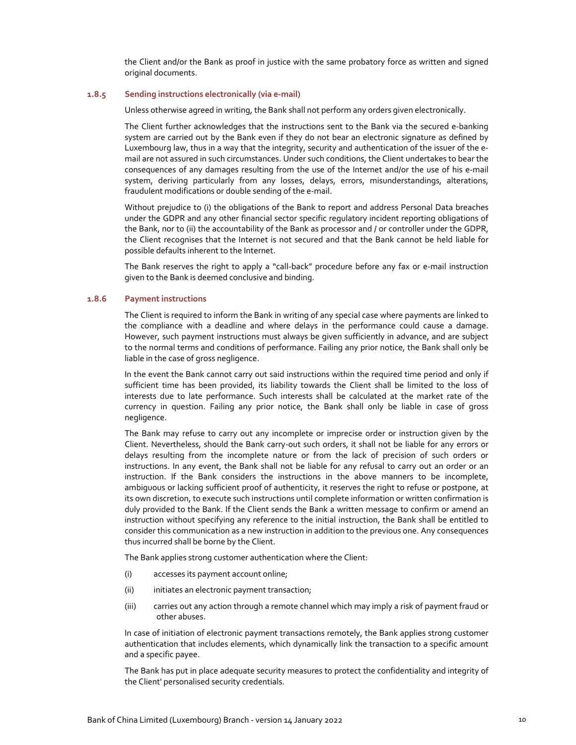the Client and/or the Bank as proof in justice with the same probatory force as written and signed original documents.

#### **1.8.5 Sending instructions electronically (via e‐mail)**

Unless otherwise agreed in writing, the Bank shall not perform any orders given electronically.

The Client further acknowledges that the instructions sent to the Bank via the secured e‐banking system are carried out by the Bank even if they do not bear an electronic signature as defined by Luxembourg law, thus in a way that the integrity, security and authentication of the issuer of the e‐ mail are not assured in such circumstances. Under such conditions, the Client undertakes to bear the consequences of any damages resulting from the use of the Internet and/or the use of his e-mail system, deriving particularly from any losses, delays, errors, misunderstandings, alterations, fraudulent modifications or double sending of the e‐mail.

Without prejudice to (i) the obligations of the Bank to report and address Personal Data breaches under the GDPR and any other financial sector specific regulatory incident reporting obligations of the Bank, nor to (ii) the accountability of the Bank as processor and / or controller under the GDPR, the Client recognises that the Internet is not secured and that the Bank cannot be held liable for possible defaults inherent to the Internet.

The Bank reserves the right to apply a "call-back" procedure before any fax or e-mail instruction given to the Bank is deemed conclusive and binding.

#### **1.8.6 Payment instructions**

The Client is required to inform the Bank in writing of any special case where payments are linked to the compliance with a deadline and where delays in the performance could cause a damage. However, such payment instructions must always be given sufficiently in advance, and are subject to the normal terms and conditions of performance. Failing any prior notice, the Bank shall only be liable in the case of gross negligence.

In the event the Bank cannot carry out said instructions within the required time period and only if sufficient time has been provided, its liability towards the Client shall be limited to the loss of interests due to late performance. Such interests shall be calculated at the market rate of the currency in question. Failing any prior notice, the Bank shall only be liable in case of gross negligence.

The Bank may refuse to carry out any incomplete or imprecise order or instruction given by the Client. Nevertheless, should the Bank carry‐out such orders, it shall not be liable for any errors or delays resulting from the incomplete nature or from the lack of precision of such orders or instructions. In any event, the Bank shall not be liable for any refusal to carry out an order or an instruction. If the Bank considers the instructions in the above manners to be incomplete, ambiguous or lacking sufficient proof of authenticity, it reserves the right to refuse or postpone, at its own discretion, to execute such instructions until complete information or written confirmation is duly provided to the Bank. If the Client sends the Bank a written message to confirm or amend an instruction without specifying any reference to the initial instruction, the Bank shall be entitled to consider this communication as a new instruction in addition to the previous one. Any consequences thus incurred shall be borne by the Client.

The Bank applies strong customer authentication where the Client:

- (i) accesses its payment account online;
- (ii) initiates an electronic payment transaction;
- (iii) carries out any action through a remote channel which may imply a risk of payment fraud or other abuses.

In case of initiation of electronic payment transactions remotely, the Bank applies strong customer authentication that includes elements, which dynamically link the transaction to a specific amount and a specific payee.

The Bank has put in place adequate security measures to protect the confidentiality and integrity of the Client' personalised security credentials.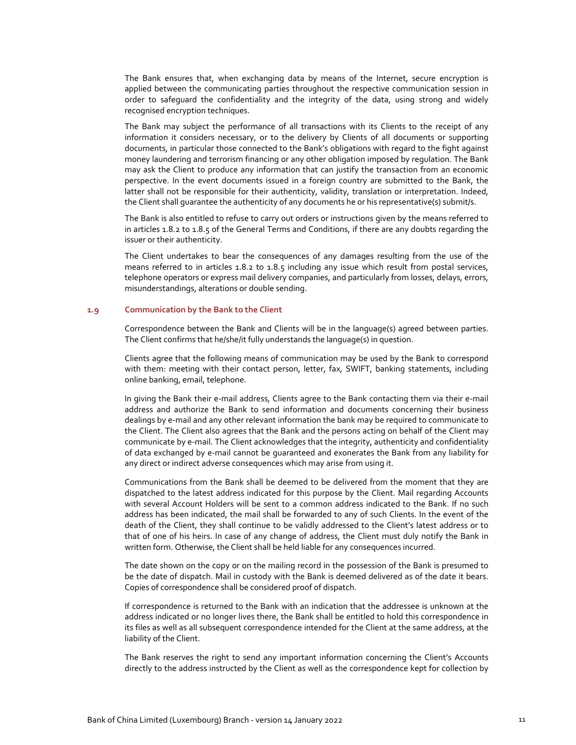The Bank ensures that, when exchanging data by means of the Internet, secure encryption is applied between the communicating parties throughout the respective communication session in order to safeguard the confidentiality and the integrity of the data, using strong and widely recognised encryption techniques.

The Bank may subject the performance of all transactions with its Clients to the receipt of any information it considers necessary, or to the delivery by Clients of all documents or supporting documents, in particular those connected to the Bank's obligations with regard to the fight against money laundering and terrorism financing or any other obligation imposed by regulation. The Bank may ask the Client to produce any information that can justify the transaction from an economic perspective. In the event documents issued in a foreign country are submitted to the Bank, the latter shall not be responsible for their authenticity, validity, translation or interpretation. Indeed, the Client shall guarantee the authenticity of any documents he or his representative(s) submit/s.

The Bank is also entitled to refuse to carry out orders or instructions given by the means referred to in articles 1.8.2 to 1.8.5 of the General Terms and Conditions, if there are any doubts regarding the issuer or their authenticity.

The Client undertakes to bear the consequences of any damages resulting from the use of the means referred to in articles 1.8.2 to 1.8.5 including any issue which result from postal services, telephone operators or express mail delivery companies, and particularly from losses, delays, errors, misunderstandings, alterations or double sending.

### **1.9 Communication by the Bank to the Client**

Correspondence between the Bank and Clients will be in the language(s) agreed between parties. The Client confirms that he/she/it fully understands the language(s) in question.

Clients agree that the following means of communication may be used by the Bank to correspond with them: meeting with their contact person, letter, fax, SWIFT, banking statements, including online banking, email, telephone.

In giving the Bank their e‐mail address, Clients agree to the Bank contacting them via their e‐mail address and authorize the Bank to send information and documents concerning their business dealings by e‐mail and any other relevant information the bank may be required to communicate to the Client. The Client also agrees that the Bank and the persons acting on behalf of the Client may communicate by e‐mail. The Client acknowledges that the integrity, authenticity and confidentiality of data exchanged by e‐mail cannot be guaranteed and exonerates the Bank from any liability for any direct or indirect adverse consequences which may arise from using it.

Communications from the Bank shall be deemed to be delivered from the moment that they are dispatched to the latest address indicated for this purpose by the Client. Mail regarding Accounts with several Account Holders will be sent to a common address indicated to the Bank. If no such address has been indicated, the mail shall be forwarded to any of such Clients. In the event of the death of the Client, they shall continue to be validly addressed to the Client's latest address or to that of one of his heirs. In case of any change of address, the Client must duly notify the Bank in written form. Otherwise, the Client shall be held liable for any consequences incurred.

The date shown on the copy or on the mailing record in the possession of the Bank is presumed to be the date of dispatch. Mail in custody with the Bank is deemed delivered as of the date it bears. Copies of correspondence shall be considered proof of dispatch.

If correspondence is returned to the Bank with an indication that the addressee is unknown at the address indicated or no longer lives there, the Bank shall be entitled to hold this correspondence in its files as well as all subsequent correspondence intended for the Client at the same address, at the liability of the Client.

The Bank reserves the right to send any important information concerning the Client's Accounts directly to the address instructed by the Client as well as the correspondence kept for collection by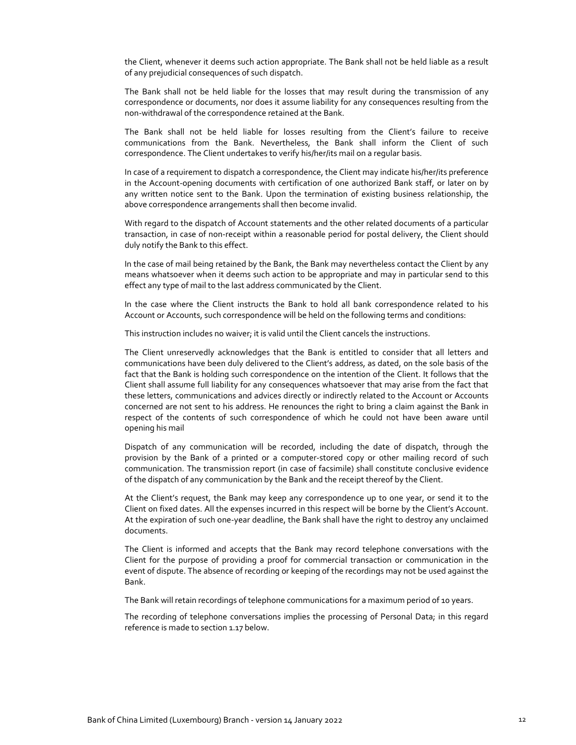the Client, whenever it deems such action appropriate. The Bank shall not be held liable as a result of any prejudicial consequences of such dispatch.

The Bank shall not be held liable for the losses that may result during the transmission of any correspondence or documents, nor does it assume liability for any consequences resulting from the non‐withdrawal of the correspondence retained at the Bank.

The Bank shall not be held liable for losses resulting from the Client's failure to receive communications from the Bank. Nevertheless, the Bank shall inform the Client of such correspondence. The Client undertakes to verify his/her/its mail on a regular basis.

In case of a requirement to dispatch a correspondence, the Client may indicate his/her/its preference in the Account-opening documents with certification of one authorized Bank staff, or later on by any written notice sent to the Bank. Upon the termination of existing business relationship, the above correspondence arrangements shall then become invalid.

With regard to the dispatch of Account statements and the other related documents of a particular transaction, in case of non‐receipt within a reasonable period for postal delivery, the Client should duly notify the Bank to this effect.

In the case of mail being retained by the Bank, the Bank may nevertheless contact the Client by any means whatsoever when it deems such action to be appropriate and may in particular send to this effect any type of mail to the last address communicated by the Client.

In the case where the Client instructs the Bank to hold all bank correspondence related to his Account or Accounts, such correspondence will be held on the following terms and conditions:

This instruction includes no waiver; it is valid until the Client cancels the instructions.

The Client unreservedly acknowledges that the Bank is entitled to consider that all letters and communications have been duly delivered to the Client's address, as dated, on the sole basis of the fact that the Bank is holding such correspondence on the intention of the Client. It follows that the Client shall assume full liability for any consequences whatsoever that may arise from the fact that these letters, communications and advices directly or indirectly related to the Account or Accounts concerned are not sent to his address. He renounces the right to bring a claim against the Bank in respect of the contents of such correspondence of which he could not have been aware until opening his mail

Dispatch of any communication will be recorded, including the date of dispatch, through the provision by the Bank of a printed or a computer-stored copy or other mailing record of such communication. The transmission report (in case of facsimile) shall constitute conclusive evidence of the dispatch of any communication by the Bank and the receipt thereof by the Client.

At the Client's request, the Bank may keep any correspondence up to one year, or send it to the Client on fixed dates. All the expenses incurred in this respect will be borne by the Client's Account. At the expiration of such one‐year deadline, the Bank shall have the right to destroy any unclaimed documents.

The Client is informed and accepts that the Bank may record telephone conversations with the Client for the purpose of providing a proof for commercial transaction or communication in the event of dispute. The absence of recording or keeping of the recordings may not be used against the Bank.

The Bank will retain recordings of telephone communications for a maximum period of 10 years.

The recording of telephone conversations implies the processing of Personal Data; in this regard reference is made to section 1.17 below.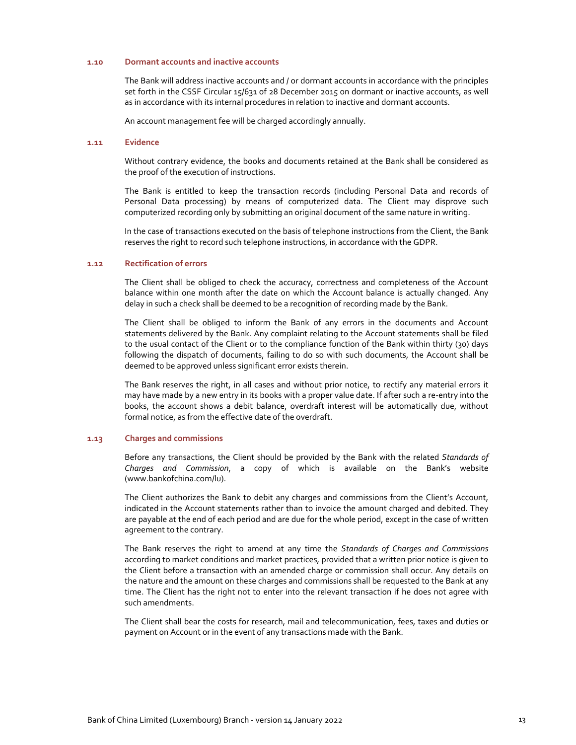#### **1.10 Dormant accounts and inactive accounts**

The Bank will address inactive accounts and / or dormant accounts in accordance with the principles set forth in the CSSF Circular 15/631 of 28 December 2015 on dormant or inactive accounts, as well as in accordance with its internal procedures in relation to inactive and dormant accounts.

An account management fee will be charged accordingly annually.

### **1.11 Evidence**

Without contrary evidence, the books and documents retained at the Bank shall be considered as the proof of the execution of instructions.

The Bank is entitled to keep the transaction records (including Personal Data and records of Personal Data processing) by means of computerized data. The Client may disprove such computerized recording only by submitting an original document of the same nature in writing.

In the case of transactions executed on the basis of telephone instructions from the Client, the Bank reserves the right to record such telephone instructions, in accordance with the GDPR.

## **1.12 Rectification of errors**

The Client shall be obliged to check the accuracy, correctness and completeness of the Account balance within one month after the date on which the Account balance is actually changed. Any delay in such a check shall be deemed to be a recognition of recording made by the Bank.

The Client shall be obliged to inform the Bank of any errors in the documents and Account statements delivered by the Bank. Any complaint relating to the Account statements shall be filed to the usual contact of the Client or to the compliance function of the Bank within thirty (30) days following the dispatch of documents, failing to do so with such documents, the Account shall be deemed to be approved unless significant error exists therein.

The Bank reserves the right, in all cases and without prior notice, to rectify any material errors it may have made by a new entry in its books with a proper value date. If after such a re‐entry into the books, the account shows a debit balance, overdraft interest will be automatically due, without formal notice, as from the effective date of the overdraft.

#### **1.13 Charges and commissions**

Before any transactions, the Client should be provided by the Bank with the related *Standards of Charges and Commission*, a copy of which is available on the Bank's website (www.bankofchina.com/lu).

The Client authorizes the Bank to debit any charges and commissions from the Client's Account, indicated in the Account statements rather than to invoice the amount charged and debited. They are payable at the end of each period and are due for the whole period, except in the case of written agreement to the contrary.

The Bank reserves the right to amend at any time the *Standards of Charges and Commissions* according to market conditions and market practices, provided that a written prior notice is given to the Client before a transaction with an amended charge or commission shall occur. Any details on the nature and the amount on these charges and commissions shall be requested to the Bank at any time. The Client has the right not to enter into the relevant transaction if he does not agree with such amendments.

The Client shall bear the costs for research, mail and telecommunication, fees, taxes and duties or payment on Account or in the event of any transactions made with the Bank.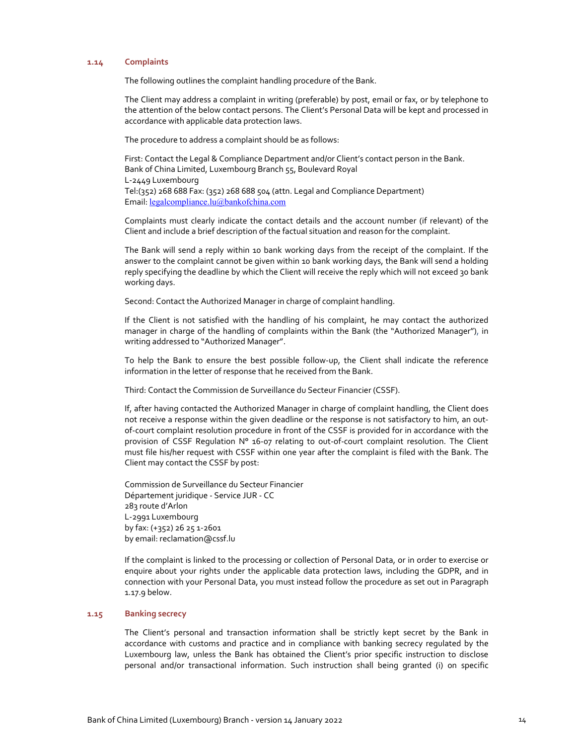## **1.14 Complaints**

The following outlines the complaint handling procedure of the Bank.

The Client may address a complaint in writing (preferable) by post, email or fax, or by telephone to the attention of the below contact persons. The Client's Personal Data will be kept and processed in accordance with applicable data protection laws.

The procedure to address a complaint should be as follows:

First: Contact the Legal & Compliance Department and/or Client's contact person in the Bank. Bank of China Limited, Luxembourg Branch 55, Boulevard Royal L‐2449 Luxembourg Tel:(352) 268 688 Fax: (352) 268 688 504 (attn. Legal and Compliance Department) Email: legalcompliance.lu@bankofchina.com

Complaints must clearly indicate the contact details and the account number (if relevant) of the Client and include a brief description of the factual situation and reason for the complaint.

The Bank will send a reply within 10 bank working days from the receipt of the complaint. If the answer to the complaint cannot be given within 10 bank working days, the Bank will send a holding reply specifying the deadline by which the Client will receive the reply which will not exceed 30 bank working days.

Second: Contact the Authorized Manager in charge of complaint handling.

If the Client is not satisfied with the handling of his complaint, he may contact the authorized manager in charge of the handling of complaints within the Bank (the "Authorized Manager"), in writing addressed to "Authorized Manager".

To help the Bank to ensure the best possible follow‐up, the Client shall indicate the reference information in the letter of response that he received from the Bank.

Third: Contact the Commission de Surveillance du Secteur Financier (CSSF).

If, after having contacted the Authorized Manager in charge of complaint handling, the Client does not receive a response within the given deadline or the response is not satisfactory to him, an outof‐court complaint resolution procedure in front of the CSSF is provided for in accordance with the provision of CSSF Requlation Nº 16-07 relating to out-of-court complaint resolution. The Client must file his/her request with CSSF within one year after the complaint is filed with the Bank. The Client may contact the CSSF by post:

Commission de Surveillance du Secteur Financier Département juridique ‐ Service JUR ‐ CC 283 route d'Arlon L‐2991 Luxembourg by fax: (+352) 26 25 1‐2601 by email: reclamation@cssf.lu

If the complaint is linked to the processing or collection of Personal Data, or in order to exercise or enquire about your rights under the applicable data protection laws, including the GDPR, and in connection with your Personal Data, you must instead follow the procedure as set out in Paragraph 1.17.9 below.

## **1.15 Banking secrecy**

The Client's personal and transaction information shall be strictly kept secret by the Bank in accordance with customs and practice and in compliance with banking secrecy regulated by the Luxembourg law, unless the Bank has obtained the Client's prior specific instruction to disclose personal and/or transactional information. Such instruction shall being granted (i) on specific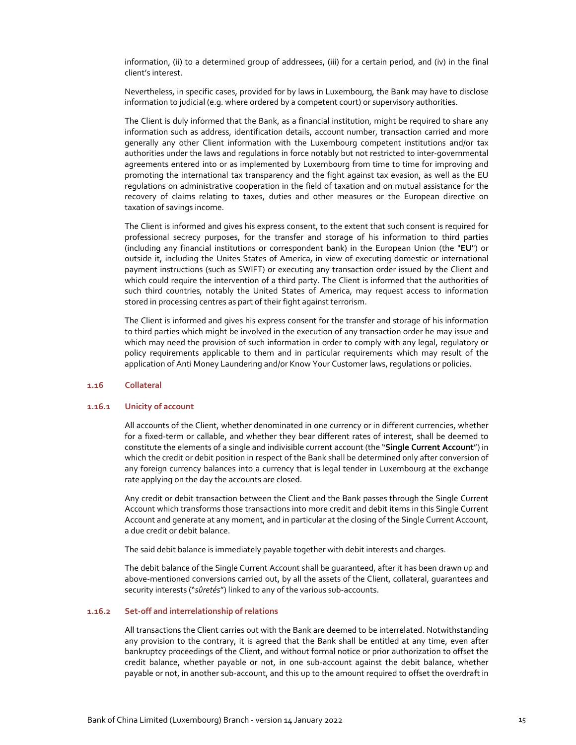information, (ii) to a determined group of addressees, (iii) for a certain period, and (iv) in the final client's interest.

Nevertheless, in specific cases, provided for by laws in Luxembourg, the Bank may have to disclose information to judicial (e.g. where ordered by a competent court) or supervisory authorities.

The Client is duly informed that the Bank, as a financial institution, might be required to share any information such as address, identification details, account number, transaction carried and more generally any other Client information with the Luxembourg competent institutions and/or tax authorities under the laws and regulations in force notably but not restricted to inter‐governmental agreements entered into or as implemented by Luxembourg from time to time for improving and promoting the international tax transparency and the fight against tax evasion, as well as the EU regulations on administrative cooperation in the field of taxation and on mutual assistance for the recovery of claims relating to taxes, duties and other measures or the European directive on taxation of savings income.

The Client is informed and gives his express consent, to the extent that such consent is required for professional secrecy purposes, for the transfer and storage of his information to third parties (including any financial institutions or correspondent bank) in the European Union (the "**EU**") or outside it, including the Unites States of America, in view of executing domestic or international payment instructions (such as SWIFT) or executing any transaction order issued by the Client and which could require the intervention of a third party. The Client is informed that the authorities of such third countries, notably the United States of America, may request access to information stored in processing centres as part of their fight against terrorism.

The Client is informed and gives his express consent for the transfer and storage of his information to third parties which might be involved in the execution of any transaction order he may issue and which may need the provision of such information in order to comply with any legal, regulatory or policy requirements applicable to them and in particular requirements which may result of the application of Anti Money Laundering and/or Know Your Customer laws, regulations or policies.

### **1.16 Collateral**

### **1.16.1 Unicity of account**

All accounts of the Client, whether denominated in one currency or in different currencies, whether for a fixed-term or callable, and whether they bear different rates of interest, shall be deemed to constitute the elements of a single and indivisible current account (the "**Single Current Account**") in which the credit or debit position in respect of the Bank shall be determined only after conversion of any foreign currency balances into a currency that is legal tender in Luxembourg at the exchange rate applying on the day the accounts are closed.

Any credit or debit transaction between the Client and the Bank passes through the Single Current Account which transforms those transactions into more credit and debit items in this Single Current Account and generate at any moment, and in particular at the closing of the Single Current Account, a due credit or debit balance.

The said debit balance is immediately payable together with debit interests and charges.

The debit balance of the Single Current Account shall be guaranteed, after it has been drawn up and above-mentioned conversions carried out, by all the assets of the Client, collateral, quarantees and security interests ("sûretés") linked to any of the various sub-accounts.

## **1.16.2 Set‐off and interrelationship of relations**

All transactions the Client carries out with the Bank are deemed to be interrelated. Notwithstanding any provision to the contrary, it is agreed that the Bank shall be entitled at any time, even after bankruptcy proceedings of the Client, and without formal notice or prior authorization to offset the credit balance, whether payable or not, in one sub‐account against the debit balance, whether payable or not, in another sub-account, and this up to the amount required to offset the overdraft in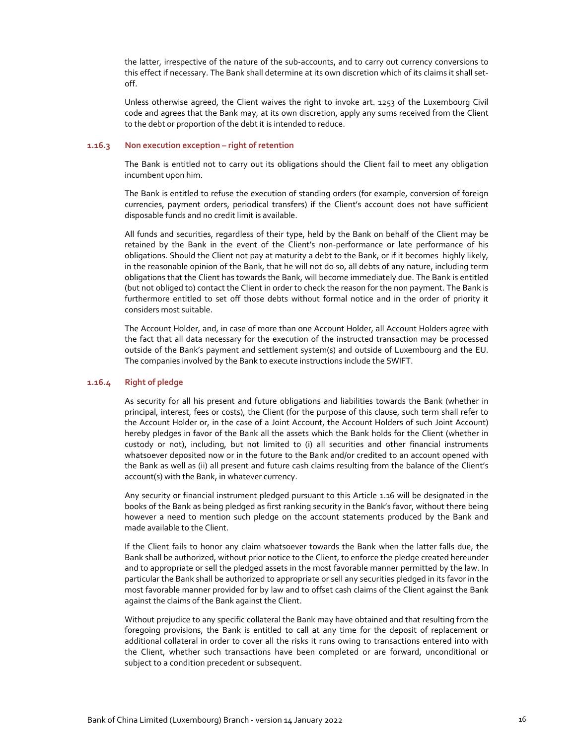the latter, irrespective of the nature of the sub‐accounts, and to carry out currency conversions to this effect if necessary. The Bank shall determine at its own discretion which of its claims it shall set‐ off.

Unless otherwise agreed, the Client waives the right to invoke art. 1253 of the Luxembourg Civil code and agrees that the Bank may, at its own discretion, apply any sums received from the Client to the debt or proportion of the debt it is intended to reduce.

## **1.16.3 Non execution exception – right of retention**

The Bank is entitled not to carry out its obligations should the Client fail to meet any obligation incumbent upon him.

The Bank is entitled to refuse the execution of standing orders (for example, conversion of foreign currencies, payment orders, periodical transfers) if the Client's account does not have sufficient disposable funds and no credit limit is available.

All funds and securities, regardless of their type, held by the Bank on behalf of the Client may be retained by the Bank in the event of the Client's non-performance or late performance of his obligations. Should the Client not pay at maturity a debt to the Bank, or if it becomes highly likely, in the reasonable opinion of the Bank, that he will not do so, all debts of any nature, including term obligations that the Client has towards the Bank, will become immediately due. The Bank is entitled (but not obliged to) contact the Client in order to check the reason for the non payment. The Bank is furthermore entitled to set off those debts without formal notice and in the order of priority it considers most suitable.

The Account Holder, and, in case of more than one Account Holder, all Account Holders agree with the fact that all data necessary for the execution of the instructed transaction may be processed outside of the Bank's payment and settlement system(s) and outside of Luxembourg and the EU. The companies involved by the Bank to execute instructions include the SWIFT.

#### **1.16.4 Right of pledge**

As security for all his present and future obligations and liabilities towards the Bank (whether in principal, interest, fees or costs), the Client (for the purpose of this clause, such term shall refer to the Account Holder or, in the case of a Joint Account, the Account Holders of such Joint Account) hereby pledges in favor of the Bank all the assets which the Bank holds for the Client (whether in custody or not), including, but not limited to (i) all securities and other financial instruments whatsoever deposited now or in the future to the Bank and/or credited to an account opened with the Bank as well as (ii) all present and future cash claims resulting from the balance of the Client's account(s) with the Bank, in whatever currency.

Any security or financial instrument pledged pursuant to this Article 1.16 will be designated in the books of the Bank as being pledged as first ranking security in the Bank's favor, without there being however a need to mention such pledge on the account statements produced by the Bank and made available to the Client.

If the Client fails to honor any claim whatsoever towards the Bank when the latter falls due, the Bank shall be authorized, without prior notice to the Client, to enforce the pledge created hereunder and to appropriate or sell the pledged assets in the most favorable manner permitted by the law. In particular the Bank shall be authorized to appropriate or sell any securities pledged in its favor in the most favorable manner provided for by law and to offset cash claims of the Client against the Bank against the claims of the Bank against the Client.

Without prejudice to any specific collateral the Bank may have obtained and that resulting from the foregoing provisions, the Bank is entitled to call at any time for the deposit of replacement or additional collateral in order to cover all the risks it runs owing to transactions entered into with the Client, whether such transactions have been completed or are forward, unconditional or subject to a condition precedent or subsequent.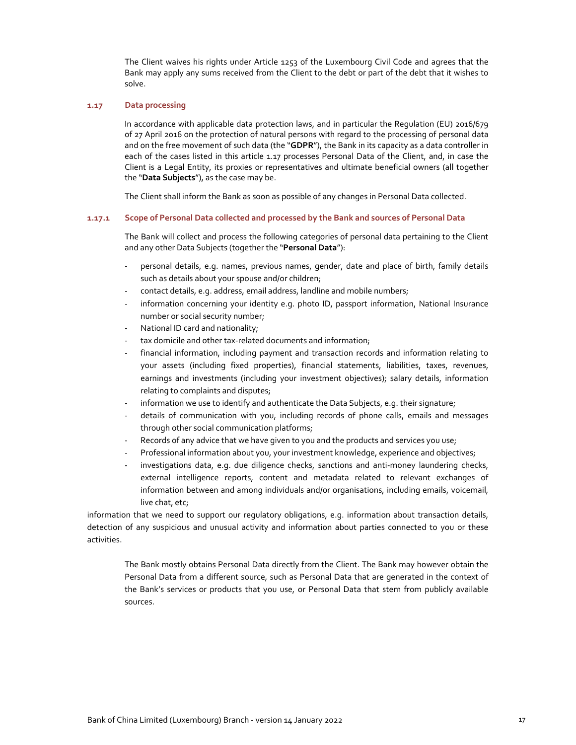The Client waives his rights under Article 1253 of the Luxembourg Civil Code and agrees that the Bank may apply any sums received from the Client to the debt or part of the debt that it wishes to solve.

### **1.17 Data processing**

In accordance with applicable data protection laws, and in particular the Regulation (EU) 2016/679 of 27 April 2016 on the protection of natural persons with regard to the processing of personal data and on the free movement of such data (the "**GDPR**"), the Bank in its capacity as a data controller in each of the cases listed in this article 1.17 processes Personal Data of the Client, and, in case the Client is a Legal Entity, its proxies or representatives and ultimate beneficial owners (all together the "**Data Subjects**"), as the case may be.

The Client shall inform the Bank as soon as possible of any changes in Personal Data collected.

### **1.17.1 Scope of Personal Data collected and processed by the Bank and sources of Personal Data**

The Bank will collect and process the following categories of personal data pertaining to the Client and any other Data Subjects (together the "**Personal Data**"):

- ‐ personal details, e.g. names, previous names, gender, date and place of birth, family details such as details about your spouse and/or children;
- contact details, e.g. address, email address, landline and mobile numbers;
- information concerning your identity e.g. photo ID, passport information, National Insurance number or social security number;
- National ID card and nationality;
- tax domicile and other tax-related documents and information;
- financial information, including payment and transaction records and information relating to your assets (including fixed properties), financial statements, liabilities, taxes, revenues, earnings and investments (including your investment objectives); salary details, information relating to complaints and disputes;
- information we use to identify and authenticate the Data Subjects, e.g. their signature;
- ‐ details of communication with you, including records of phone calls, emails and messages through other social communication platforms;
- Records of any advice that we have given to you and the products and services you use;
- Professional information about you, your investment knowledge, experience and objectives;
- investigations data, e.g. due diligence checks, sanctions and anti-money laundering checks, external intelligence reports, content and metadata related to relevant exchanges of information between and among individuals and/or organisations, including emails, voicemail, live chat, etc;

information that we need to support our regulatory obligations, e.g. information about transaction details, detection of any suspicious and unusual activity and information about parties connected to you or these activities.

The Bank mostly obtains Personal Data directly from the Client. The Bank may however obtain the Personal Data from a different source, such as Personal Data that are generated in the context of the Bank's services or products that you use, or Personal Data that stem from publicly available sources.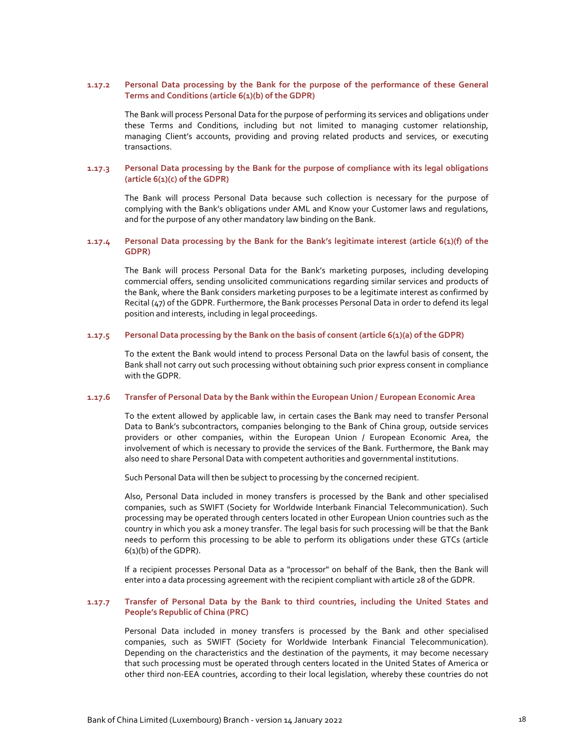## **1.17.2 Personal Data processing by the Bank for the purpose of the performance of these General Terms and Conditions (article 6(1)(b) of the GDPR)**

The Bank will process Personal Data for the purpose of performing its services and obligations under these Terms and Conditions, including but not limited to managing customer relationship, managing Client's accounts, providing and proving related products and services, or executing transactions.

## **1.17.3 Personal Data processing by the Bank for the purpose of compliance with its legal obligations (article 6(1)(c) of the GDPR)**

The Bank will process Personal Data because such collection is necessary for the purpose of complying with the Bank's obligations under AML and Know your Customer laws and regulations, and for the purpose of any other mandatory law binding on the Bank.

## **1.17.4 Personal Data processing by the Bank for the Bank's legitimate interest (article 6(1)(f) of the GDPR)**

The Bank will process Personal Data for the Bank's marketing purposes, including developing commercial offers, sending unsolicited communications regarding similar services and products of the Bank, where the Bank considers marketing purposes to be a legitimate interest as confirmed by Recital (47) of the GDPR. Furthermore, the Bank processes Personal Data in order to defend its legal position and interests, including in legal proceedings.

## **1.17.5 Personal Data processing by the Bank on the basis of consent (article 6(1)(a) of the GDPR)**

To the extent the Bank would intend to process Personal Data on the lawful basis of consent, the Bank shall not carry out such processing without obtaining such prior express consent in compliance with the GDPR.

### **1.17.6 Transfer of Personal Data by the Bank within the European Union / European Economic Area**

To the extent allowed by applicable law, in certain cases the Bank may need to transfer Personal Data to Bank's subcontractors, companies belonging to the Bank of China group, outside services providers or other companies, within the European Union / European Economic Area, the involvement of which is necessary to provide the services of the Bank. Furthermore, the Bank may also need to share Personal Data with competent authorities and governmental institutions.

Such Personal Data will then be subject to processing by the concerned recipient.

Also, Personal Data included in money transfers is processed by the Bank and other specialised companies, such as SWIFT (Society for Worldwide Interbank Financial Telecommunication). Such processing may be operated through centers located in other European Union countries such as the country in which you ask a money transfer. The legal basis for such processing will be that the Bank needs to perform this processing to be able to perform its obligations under these GTCs (article 6(1)(b) of the GDPR).

If a recipient processes Personal Data as a "processor" on behalf of the Bank, then the Bank will enter into a data processing agreement with the recipient compliant with article 28 of the GDPR.

## **1.17.7 Transfer of Personal Data by the Bank to third countries, including the United States and People's Republic of China (PRC)**

Personal Data included in money transfers is processed by the Bank and other specialised companies, such as SWIFT (Society for Worldwide Interbank Financial Telecommunication). Depending on the characteristics and the destination of the payments, it may become necessary that such processing must be operated through centers located in the United States of America or other third non‐EEA countries, according to their local legislation, whereby these countries do not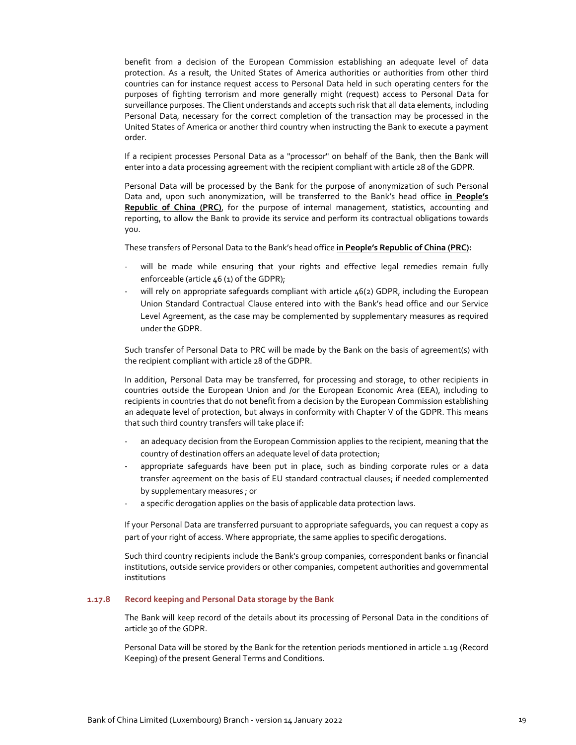benefit from a decision of the European Commission establishing an adequate level of data protection. As a result, the United States of America authorities or authorities from other third countries can for instance request access to Personal Data held in such operating centers for the purposes of fighting terrorism and more generally might (request) access to Personal Data for surveillance purposes. The Client understands and accepts such risk that all data elements, including Personal Data, necessary for the correct completion of the transaction may be processed in the United States of America or another third country when instructing the Bank to execute a payment order.

If a recipient processes Personal Data as a "processor" on behalf of the Bank, then the Bank will enter into a data processing agreement with the recipient compliant with article 28 of the GDPR.

Personal Data will be processed by the Bank for the purpose of anonymization of such Personal Data and, upon such anonymization, will be transferred to the Bank's head office **in People's Republic of China (PRC)**, for the purpose of internal management, statistics, accounting and reporting, to allow the Bank to provide its service and perform its contractual obligations towards you.

These transfers of Personal Data to the Bank's head office **in People's Republic of China (PRC):** 

- will be made while ensuring that your rights and effective legal remedies remain fully enforceable (article 46 (1) of the GDPR);
- will rely on appropriate safeguards compliant with article 46(2) GDPR, including the European Union Standard Contractual Clause entered into with the Bank's head office and our Service Level Agreement, as the case may be complemented by supplementary measures as required under the GDPR.

Such transfer of Personal Data to PRC will be made by the Bank on the basis of agreement(s) with the recipient compliant with article 28 of the GDPR.

In addition, Personal Data may be transferred, for processing and storage, to other recipients in countries outside the European Union and /or the European Economic Area (EEA), including to recipients in countries that do not benefit from a decision by the European Commission establishing an adequate level of protection, but always in conformity with Chapter V of the GDPR. This means that such third country transfers will take place if:

- an adequacy decision from the European Commission applies to the recipient, meaning that the country of destination offers an adequate level of data protection;
- appropriate safeguards have been put in place, such as binding corporate rules or a data transfer agreement on the basis of EU standard contractual clauses; if needed complemented by supplementary measures ; or
- ‐ a specific derogation applies on the basis of applicable data protection laws.

If your Personal Data are transferred pursuant to appropriate safeguards, you can request a copy as part of your right of access. Where appropriate, the same applies to specific derogations.

Such third country recipients include the Bank's group companies, correspondent banks or financial institutions, outside service providers or other companies, competent authorities and governmental institutions

## **1.17.8 Record keeping and Personal Data storage by the Bank**

The Bank will keep record of the details about its processing of Personal Data in the conditions of article 30 of the GDPR.

Personal Data will be stored by the Bank for the retention periods mentioned in article 1.19 (Record Keeping) of the present General Terms and Conditions.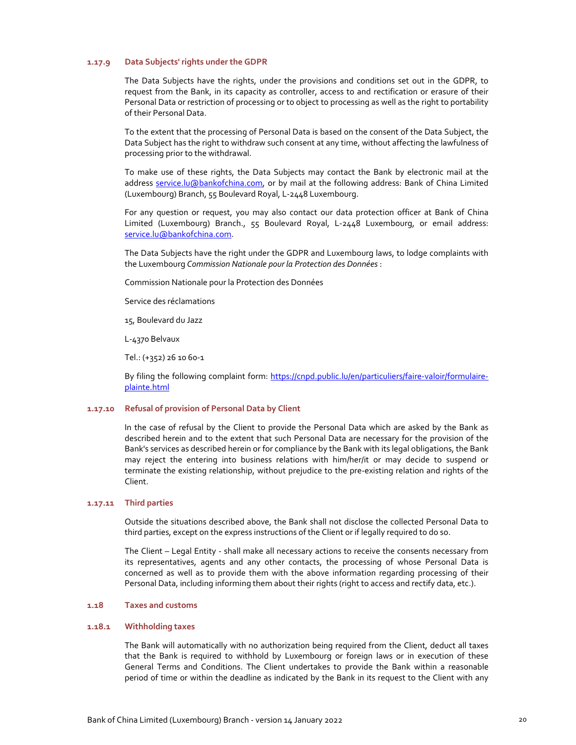## **1.17.9 Data Subjects' rights under the GDPR**

The Data Subjects have the rights, under the provisions and conditions set out in the GDPR, to request from the Bank, in its capacity as controller, access to and rectification or erasure of their Personal Data or restriction of processing or to object to processing as well as the right to portability of their Personal Data.

To the extent that the processing of Personal Data is based on the consent of the Data Subject, the Data Subject has the right to withdraw such consent at any time, without affecting the lawfulness of processing prior to the withdrawal.

To make use of these rights, the Data Subjects may contact the Bank by electronic mail at the address service.lu@bankofchina.com, or by mail at the following address: Bank of China Limited (Luxembourg) Branch, 55 Boulevard Royal, L‐2448 Luxembourg.

For any question or request, you may also contact our data protection officer at Bank of China Limited (Luxembourg) Branch., 55 Boulevard Royal, L‐2448 Luxembourg, or email address: service.lu@bankofchina.com.

The Data Subjects have the right under the GDPR and Luxembourg laws, to lodge complaints with the Luxembourg *Commission Nationale pour la Protection des Données* :

Commission Nationale pour la Protection des Données

Service des réclamations

15, Boulevard du Jazz

L‐4370 Belvaux

Tel.: (+352) 26 10 60‐1

By filing the following complaint form: https://cnpd.public.lu/en/particuliers/faire-valoir/formulaireplainte.html

## **1.17.10 Refusal of provision of Personal Data by Client**

In the case of refusal by the Client to provide the Personal Data which are asked by the Bank as described herein and to the extent that such Personal Data are necessary for the provision of the Bank's services as described herein or for compliance by the Bank with its legal obligations, the Bank may reject the entering into business relations with him/her/it or may decide to suspend or terminate the existing relationship, without prejudice to the pre‐existing relation and rights of the Client.

### **1.17.11 Third parties**

Outside the situations described above, the Bank shall not disclose the collected Personal Data to third parties, except on the express instructions of the Client or if legally required to do so.

The Client – Legal Entity ‐ shall make all necessary actions to receive the consents necessary from its representatives, agents and any other contacts, the processing of whose Personal Data is concerned as well as to provide them with the above information regarding processing of their Personal Data, including informing them about their rights (right to access and rectify data, etc.).

### **1.18 Taxes and customs**

#### **1.18.1 Withholding taxes**

The Bank will automatically with no authorization being required from the Client, deduct all taxes that the Bank is required to withhold by Luxembourg or foreign laws or in execution of these General Terms and Conditions. The Client undertakes to provide the Bank within a reasonable period of time or within the deadline as indicated by the Bank in its request to the Client with any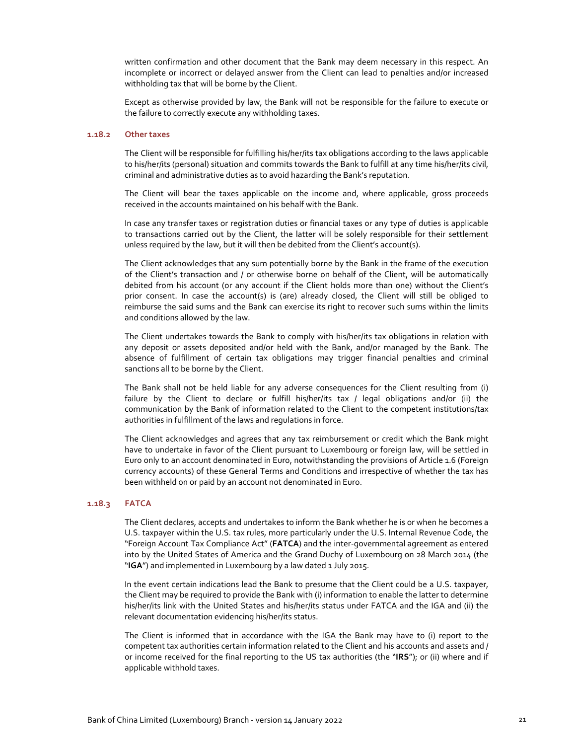written confirmation and other document that the Bank may deem necessary in this respect. An incomplete or incorrect or delayed answer from the Client can lead to penalties and/or increased withholding tax that will be borne by the Client.

Except as otherwise provided by law, the Bank will not be responsible for the failure to execute or the failure to correctly execute any withholding taxes.

## **1.18.2 Other taxes**

The Client will be responsible for fulfilling his/her/its tax obligations according to the laws applicable to his/her/its (personal) situation and commits towards the Bank to fulfill at any time his/her/its civil, criminal and administrative duties as to avoid hazarding the Bank's reputation.

The Client will bear the taxes applicable on the income and, where applicable, gross proceeds received in the accounts maintained on his behalf with the Bank.

In case any transfer taxes or registration duties or financial taxes or any type of duties is applicable to transactions carried out by the Client, the latter will be solely responsible for their settlement unless required by the law, but it will then be debited from the Client's account(s).

The Client acknowledges that any sum potentially borne by the Bank in the frame of the execution of the Client's transaction and / or otherwise borne on behalf of the Client, will be automatically debited from his account (or any account if the Client holds more than one) without the Client's prior consent. In case the account(s) is (are) already closed, the Client will still be obliged to reimburse the said sums and the Bank can exercise its right to recover such sums within the limits and conditions allowed by the law.

The Client undertakes towards the Bank to comply with his/her/its tax obligations in relation with any deposit or assets deposited and/or held with the Bank, and/or managed by the Bank. The absence of fulfillment of certain tax obligations may trigger financial penalties and criminal sanctions all to be borne by the Client.

The Bank shall not be held liable for any adverse consequences for the Client resulting from (i) failure by the Client to declare or fulfill his/her/its tax / legal obligations and/or (ii) the communication by the Bank of information related to the Client to the competent institutions/tax authorities in fulfillment of the laws and regulations in force.

The Client acknowledges and agrees that any tax reimbursement or credit which the Bank might have to undertake in favor of the Client pursuant to Luxembourg or foreign law, will be settled in Euro only to an account denominated in Euro, notwithstanding the provisions of Article 1.6 (Foreign currency accounts) of these General Terms and Conditions and irrespective of whether the tax has been withheld on or paid by an account not denominated in Euro.

#### **1.18.3 FATCA**

The Client declares, accepts and undertakes to inform the Bank whether he is or when he becomes a U.S. taxpayer within the U.S. tax rules, more particularly under the U.S. Internal Revenue Code, the "Foreign Account Tax Compliance Act" (**FATCA**) and the inter‐governmental agreement as entered into by the United States of America and the Grand Duchy of Luxembourg on 28 March 2014 (the "**IGA**") and implemented in Luxembourg by a law dated 1 July 2015.

In the event certain indications lead the Bank to presume that the Client could be a U.S. taxpayer, the Client may be required to provide the Bank with (i) information to enable the latter to determine his/her/its link with the United States and his/her/its status under FATCA and the IGA and (ii) the relevant documentation evidencing his/her/its status.

The Client is informed that in accordance with the IGA the Bank may have to (i) report to the competent tax authorities certain information related to the Client and his accounts and assets and / or income received for the final reporting to the US tax authorities (the "**IRS**"); or (ii) where and if applicable withhold taxes.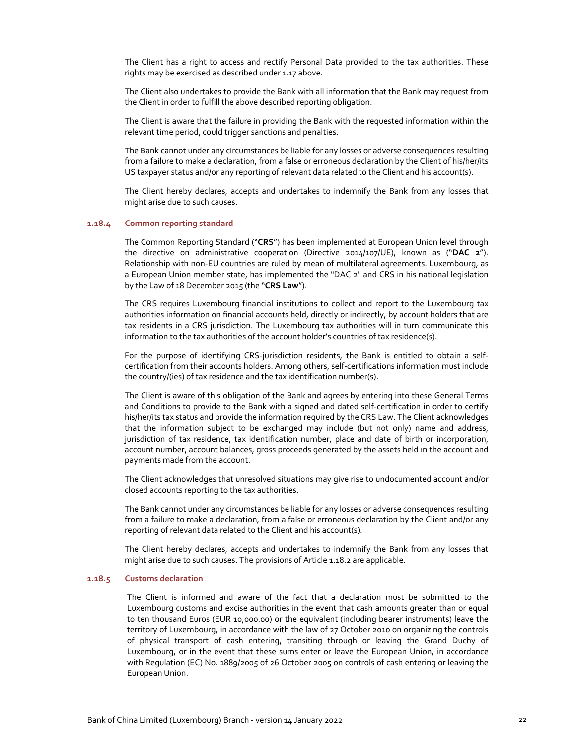The Client has a right to access and rectify Personal Data provided to the tax authorities. These rights may be exercised as described under 1.17 above.

The Client also undertakes to provide the Bank with all information that the Bank may request from the Client in order to fulfill the above described reporting obligation.

The Client is aware that the failure in providing the Bank with the requested information within the relevant time period, could trigger sanctions and penalties.

The Bank cannot under any circumstances be liable for any losses or adverse consequences resulting from a failure to make a declaration, from a false or erroneous declaration by the Client of his/her/its US taxpayer status and/or any reporting of relevant data related to the Client and his account(s).

The Client hereby declares, accepts and undertakes to indemnify the Bank from any losses that might arise due to such causes.

#### **1.18.4 Common reporting standard**

The Common Reporting Standard ("**CRS**") has been implemented at European Union level through the directive on administrative cooperation (Directive 2014/107/UE), known as ("**DAC 2**"). Relationship with non‐EU countries are ruled by mean of multilateral agreements. Luxembourg, as a European Union member state, has implemented the "DAC 2" and CRS in his national legislation by the Law of 18 December 2015 (the "**CRS Law**").

The CRS requires Luxembourg financial institutions to collect and report to the Luxembourg tax authorities information on financial accounts held, directly or indirectly, by account holders that are tax residents in a CRS jurisdiction. The Luxembourg tax authorities will in turn communicate this information to the tax authorities of the account holder's countries of tax residence(s).

For the purpose of identifying CRS-jurisdiction residents, the Bank is entitled to obtain a selfcertification from their accounts holders. Among others, self‐certifications information must include the country/(ies) of tax residence and the tax identification number(s).

The Client is aware of this obligation of the Bank and agrees by entering into these General Terms and Conditions to provide to the Bank with a signed and dated self‐certification in order to certify his/her/its tax status and provide the information required by the CRS Law. The Client acknowledges that the information subject to be exchanged may include (but not only) name and address, jurisdiction of tax residence, tax identification number, place and date of birth or incorporation, account number, account balances, gross proceeds generated by the assets held in the account and payments made from the account.

The Client acknowledges that unresolved situations may give rise to undocumented account and/or closed accounts reporting to the tax authorities.

The Bank cannot under any circumstances be liable for any losses or adverse consequences resulting from a failure to make a declaration, from a false or erroneous declaration by the Client and/or any reporting of relevant data related to the Client and his account(s).

The Client hereby declares, accepts and undertakes to indemnify the Bank from any losses that might arise due to such causes. The provisions of Article 1.18.2 are applicable.

## **1.18.5 Customs declaration**

The Client is informed and aware of the fact that a declaration must be submitted to the Luxembourg customs and excise authorities in the event that cash amounts greater than or equal to ten thousand Euros (EUR 10,000.00) or the equivalent (including bearer instruments) leave the territory of Luxembourg, in accordance with the law of 27 October 2010 on organizing the controls of physical transport of cash entering, transiting through or leaving the Grand Duchy of Luxembourg, or in the event that these sums enter or leave the European Union, in accordance with Regulation (EC) No. 1889/2005 of 26 October 2005 on controls of cash entering or leaving the European Union.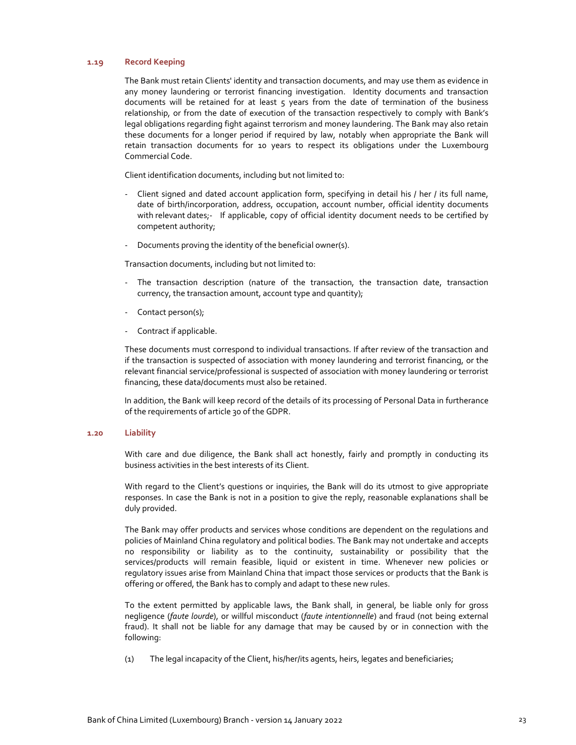## **1.19 Record Keeping**

The Bank must retain Clients' identity and transaction documents, and may use them as evidence in any money laundering or terrorist financing investigation. Identity documents and transaction documents will be retained for at least 5 years from the date of termination of the business relationship, or from the date of execution of the transaction respectively to comply with Bank's legal obligations regarding fight against terrorism and money laundering. The Bank may also retain these documents for a longer period if required by law, notably when appropriate the Bank will retain transaction documents for 10 years to respect its obligations under the Luxembourg Commercial Code.

Client identification documents, including but not limited to:

- ‐ Client signed and dated account application form, specifying in detail his / her / its full name, date of birth/incorporation, address, occupation, account number, official identity documents with relevant dates;- If applicable, copy of official identity document needs to be certified by competent authority;
- ‐ Documents proving the identity of the beneficial owner(s).

Transaction documents, including but not limited to:

- ‐ The transaction description (nature of the transaction, the transaction date, transaction currency, the transaction amount, account type and quantity);
- Contact person(s);
- ‐ Contract if applicable.

These documents must correspond to individual transactions. If after review of the transaction and if the transaction is suspected of association with money laundering and terrorist financing, or the relevant financial service/professional is suspected of association with money laundering or terrorist financing, these data/documents must also be retained.

In addition, the Bank will keep record of the details of its processing of Personal Data in furtherance of the requirements of article 30 of the GDPR.

### **1.20 Liability**

With care and due diligence, the Bank shall act honestly, fairly and promptly in conducting its business activities in the best interests of its Client.

With regard to the Client's questions or inquiries, the Bank will do its utmost to give appropriate responses. In case the Bank is not in a position to give the reply, reasonable explanations shall be duly provided.

The Bank may offer products and services whose conditions are dependent on the regulations and policies of Mainland China regulatory and political bodies. The Bank may not undertake and accepts no responsibility or liability as to the continuity, sustainability or possibility that the services/products will remain feasible, liquid or existent in time. Whenever new policies or regulatory issues arise from Mainland China that impact those services or products that the Bank is offering or offered, the Bank has to comply and adapt to these new rules.

To the extent permitted by applicable laws, the Bank shall, in general, be liable only for gross negligence (*faute lourde*), or willful misconduct (*faute intentionnelle*) and fraud (not being external fraud). It shall not be liable for any damage that may be caused by or in connection with the following:

(1) The legal incapacity of the Client, his/her/its agents, heirs, legates and beneficiaries;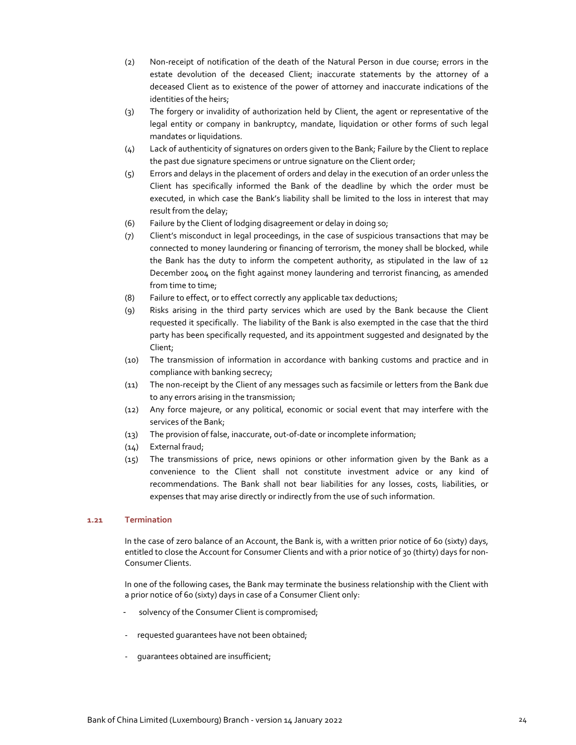- (2) Non‐receipt of notification of the death of the Natural Person in due course; errors in the estate devolution of the deceased Client; inaccurate statements by the attorney of a deceased Client as to existence of the power of attorney and inaccurate indications of the identities of the heirs;
- (3) The forgery or invalidity of authorization held by Client, the agent or representative of the legal entity or company in bankruptcy, mandate, liquidation or other forms of such legal mandates or liquidations.
- (4) Lack of authenticity of signatures on orders given to the Bank; Failure by the Client to replace the past due signature specimens or untrue signature on the Client order;
- (5) Errors and delays in the placement of orders and delay in the execution of an order unless the Client has specifically informed the Bank of the deadline by which the order must be executed, in which case the Bank's liability shall be limited to the loss in interest that may result from the delay;
- (6) Failure by the Client of lodging disagreement or delay in doing so;
- (7) Client's misconduct in legal proceedings, in the case of suspicious transactions that may be connected to money laundering or financing of terrorism, the money shall be blocked, while the Bank has the duty to inform the competent authority, as stipulated in the law of 12 December 2004 on the fight against money laundering and terrorist financing, as amended from time to time;
- (8) Failure to effect, or to effect correctly any applicable tax deductions;
- (9) Risks arising in the third party services which are used by the Bank because the Client requested it specifically. The liability of the Bank is also exempted in the case that the third party has been specifically requested, and its appointment suggested and designated by the Client;
- (10) The transmission of information in accordance with banking customs and practice and in compliance with banking secrecy;
- (11) The non‐receipt by the Client of any messages such as facsimile or letters from the Bank due to any errors arising in the transmission;
- (12) Any force majeure, or any political, economic or social event that may interfere with the services of the Bank;
- (13) The provision of false, inaccurate, out‐of‐date or incomplete information;
- (14) External fraud;
- $(15)$  The transmissions of price, news opinions or other information given by the Bank as a convenience to the Client shall not constitute investment advice or any kind of recommendations. The Bank shall not bear liabilities for any losses, costs, liabilities, or expenses that may arise directly or indirectly from the use of such information.

## **1.21 Termination**

In the case of zero balance of an Account, the Bank is, with a written prior notice of 60 (sixty) days, entitled to close the Account for Consumer Clients and with a prior notice of 30 (thirty) days for non-Consumer Clients.

In one of the following cases, the Bank may terminate the business relationship with the Client with a prior notice of 60 (sixty) days in case of a Consumer Client only:

- solvency of the Consumer Client is compromised;
- requested quarantees have not been obtained;
- ‐ guarantees obtained are insufficient;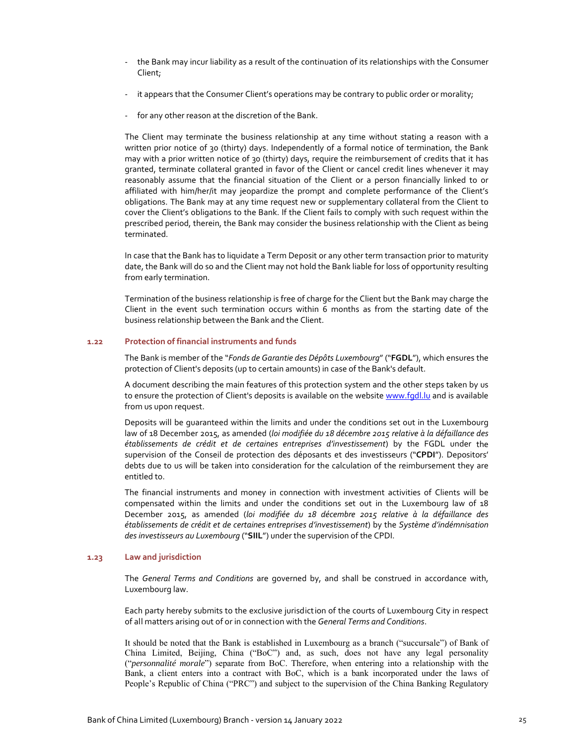- ‐ the Bank may incur liability as a result of the continuation of its relationships with the Consumer Client;
- it appears that the Consumer Client's operations may be contrary to public order or morality;
- ‐ for any other reason at the discretion of the Bank.

The Client may terminate the business relationship at any time without stating a reason with a written prior notice of 30 (thirty) days. Independently of a formal notice of termination, the Bank may with a prior written notice of 30 (thirty) days, require the reimbursement of credits that it has granted, terminate collateral granted in favor of the Client or cancel credit lines whenever it may reasonably assume that the financial situation of the Client or a person financially linked to or affiliated with him/her/it may jeopardize the prompt and complete performance of the Client's obligations. The Bank may at any time request new or supplementary collateral from the Client to cover the Client's obligations to the Bank. If the Client fails to comply with such request within the prescribed period, therein, the Bank may consider the business relationship with the Client as being terminated.

In case that the Bank has to liquidate a Term Deposit or any other term transaction prior to maturity date, the Bank will do so and the Client may not hold the Bank liable for loss of opportunity resulting from early termination.

Termination of the business relationship is free of charge for the Client but the Bank may charge the Client in the event such termination occurs within 6 months as from the starting date of the business relationship between the Bank and the Client.

## **1.22 Protection of financial instruments and funds**

The Bank is member of the "*Fonds de Garantie des Dépôts Luxembourg*" ("**FGDL**"), which ensures the protection of Client's deposits (up to certain amounts) in case of the Bank's default.

A document describing the main features of this protection system and the other steps taken by us to ensure the protection of Client's deposits is available on the website www.fgdl.lu and is available from us upon request.

Deposits will be guaranteed within the limits and under the conditions set out in the Luxembourg law of 18 December 2015, as amended (*loi modifiée du 18 décembre 2015 relative à la défaillance des établissements de crédit et de certaines entreprises d'investissement*) by the FGDL under the supervision of the Conseil de protection des déposants et des investisseurs ("**CPDI**"). Depositors' debts due to us will be taken into consideration for the calculation of the reimbursement they are entitled to.

The financial instruments and money in connection with investment activities of Clients will be compensated within the limits and under the conditions set out in the Luxembourg law of 18 December 2015, as amended (*loi modifiée du 18 décembre 2015 relative à la défaillance des établissements de crédit et de certaines entreprises d'investissement*) by the *Système d'indémnisation des investisseurs au Luxembourg* ("**SIIL**") under the supervision of the CPDI.

#### **1.23 Law and jurisdiction**

The *General Terms and Conditions* are governed by, and shall be construed in accordance with, Luxembourg law.

Each party hereby submits to the exclusive jurisdiction of the courts of Luxembourg City in respect of all matters arising out of or in connection with the *General Terms and Conditions*.

It should be noted that the Bank is established in Luxembourg as a branch ("succursale") of Bank of China Limited, Beijing, China ("BoC") and, as such, does not have any legal personality ("*personnalité morale*") separate from BoC. Therefore, when entering into a relationship with the Bank, a client enters into a contract with BoC, which is a bank incorporated under the laws of People's Republic of China ("PRC") and subject to the supervision of the China Banking Regulatory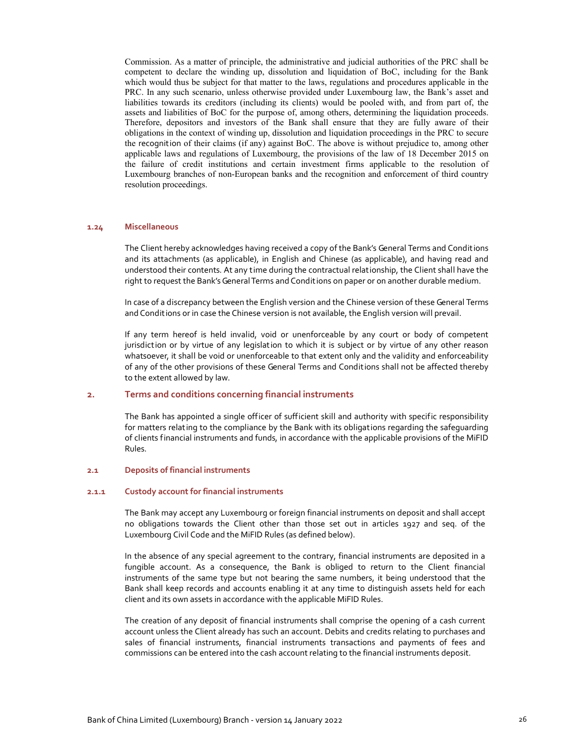Commission. As a matter of principle, the administrative and judicial authorities of the PRC shall be competent to declare the winding up, dissolution and liquidation of BoC, including for the Bank which would thus be subject for that matter to the laws, regulations and procedures applicable in the PRC. In any such scenario, unless otherwise provided under Luxembourg law, the Bank's asset and liabilities towards its creditors (including its clients) would be pooled with, and from part of, the assets and liabilities of BoC for the purpose of, among others, determining the liquidation proceeds. Therefore, depositors and investors of the Bank shall ensure that they are fully aware of their obligations in the context of winding up, dissolution and liquidation proceedings in the PRC to secure the recognition of their claims (if any) against BoC. The above is without prejudice to, among other applicable laws and regulations of Luxembourg, the provisions of the law of 18 December 2015 on the failure of credit institutions and certain investment firms applicable to the resolution of Luxembourg branches of non-European banks and the recognition and enforcement of third country resolution proceedings.

## **1.24 Miscellaneous**

The Client hereby acknowledges having received a copy of the Bank's General Terms and Conditions and its attachments (as applicable), in English and Chinese (as applicable), and having read and understood their contents. At any time during the contractual relationship, the Client shall have the right to request the Bank's General Terms and Conditions on paper or on another durable medium.

In case of a discrepancy between the English version and the Chinese version of these General Terms and Conditions or in case the Chinese version is not available, the English version will prevail.

If any term hereof is held invalid, void or unenforceable by any court or body of competent jurisdiction or by virtue of any legislation to which it is subject or by virtue of any other reason whatsoever, it shall be void or unenforceable to that extent only and the validity and enforceability of any of the other provisions of these General Terms and Conditions shall not be affected thereby to the extent allowed by law.

#### **2. Terms and conditions concerning financial instruments**

The Bank has appointed a single officer of sufficient skill and authority with specific responsibility for matters relating to the compliance by the Bank with its obligations regarding the safeguarding of clients financial instruments and funds, in accordance with the applicable provisions of the MiFID Rules.

#### **2.1 Deposits of financial instruments**

#### **2.1.1 Custody account for financial instruments**

The Bank may accept any Luxembourg or foreign financial instruments on deposit and shall accept no obligations towards the Client other than those set out in articles 1927 and seq. of the Luxembourg Civil Code and the MiFID Rules (as defined below).

In the absence of any special agreement to the contrary, financial instruments are deposited in a fungible account. As a consequence, the Bank is obliged to return to the Client financial instruments of the same type but not bearing the same numbers, it being understood that the Bank shall keep records and accounts enabling it at any time to distinguish assets held for each client and its own assets in accordance with the applicable MiFID Rules.

The creation of any deposit of financial instruments shall comprise the opening of a cash current account unless the Client already has such an account. Debits and credits relating to purchases and sales of financial instruments, financial instruments transactions and payments of fees and commissions can be entered into the cash account relating to the financial instruments deposit.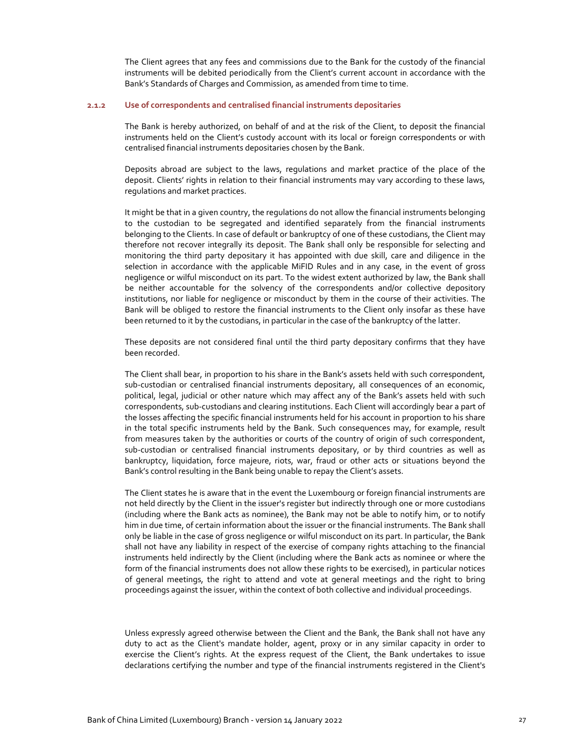The Client agrees that any fees and commissions due to the Bank for the custody of the financial instruments will be debited periodically from the Client's current account in accordance with the Bank's Standards of Charges and Commission, as amended from time to time.

#### **2.1.2 Use of correspondents and centralised financial instruments depositaries**

The Bank is hereby authorized, on behalf of and at the risk of the Client, to deposit the financial instruments held on the Client's custody account with its local or foreign correspondents or with centralised financial instruments depositaries chosen by the Bank.

Deposits abroad are subject to the laws, regulations and market practice of the place of the deposit. Clients' rights in relation to their financial instruments may vary according to these laws, regulations and market practices.

It might be that in a given country, the regulations do not allow the financial instruments belonging to the custodian to be segregated and identified separately from the financial instruments belonging to the Clients. In case of default or bankruptcy of one of these custodians, the Client may therefore not recover integrally its deposit. The Bank shall only be responsible for selecting and monitoring the third party depositary it has appointed with due skill, care and diligence in the selection in accordance with the applicable MiFID Rules and in any case, in the event of gross negligence or wilful misconduct on its part. To the widest extent authorized by law, the Bank shall be neither accountable for the solvency of the correspondents and/or collective depository institutions, nor liable for negligence or misconduct by them in the course of their activities. The Bank will be obliged to restore the financial instruments to the Client only insofar as these have been returned to it by the custodians, in particular in the case of the bankruptcy of the latter.

These deposits are not considered final until the third party depositary confirms that they have been recorded.

The Client shall bear, in proportion to his share in the Bank's assets held with such correspondent, sub‐custodian or centralised financial instruments depositary, all consequences of an economic, political, legal, judicial or other nature which may affect any of the Bank's assets held with such correspondents, sub‐custodians and clearing institutions. Each Client will accordingly bear a part of the losses affecting the specific financial instruments held for his account in proportion to his share in the total specific instruments held by the Bank. Such consequences may, for example, result from measures taken by the authorities or courts of the country of origin of such correspondent, sub-custodian or centralised financial instruments depositary, or by third countries as well as bankruptcy, liquidation, force majeure, riots, war, fraud or other acts or situations beyond the Bank's control resulting in the Bank being unable to repay the Client's assets.

The Client states he is aware that in the event the Luxembourg or foreign financial instruments are not held directly by the Client in the issuer's register but indirectly through one or more custodians (including where the Bank acts as nominee), the Bank may not be able to notify him, or to notify him in due time, of certain information about the issuer or the financial instruments. The Bank shall only be liable in the case of gross negligence or wilful misconduct on its part. In particular, the Bank shall not have any liability in respect of the exercise of company rights attaching to the financial instruments held indirectly by the Client (including where the Bank acts as nominee or where the form of the financial instruments does not allow these rights to be exercised), in particular notices of general meetings, the right to attend and vote at general meetings and the right to bring proceedings against the issuer, within the context of both collective and individual proceedings.

Unless expressly agreed otherwise between the Client and the Bank, the Bank shall not have any duty to act as the Client's mandate holder, agent, proxy or in any similar capacity in order to exercise the Client's rights. At the express request of the Client, the Bank undertakes to issue declarations certifying the number and type of the financial instruments registered in the Client's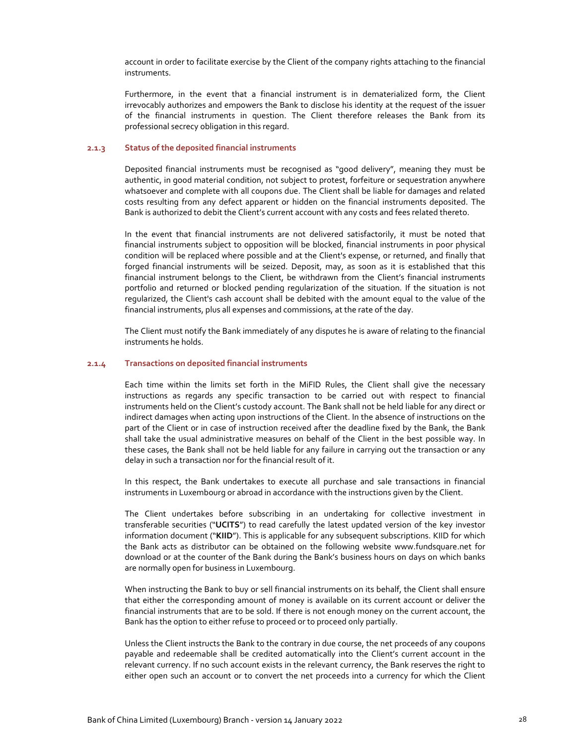account in order to facilitate exercise by the Client of the company rights attaching to the financial instruments.

Furthermore, in the event that a financial instrument is in dematerialized form, the Client irrevocably authorizes and empowers the Bank to disclose his identity at the request of the issuer of the financial instruments in question. The Client therefore releases the Bank from its professional secrecy obligation in this regard.

#### **2.1.3 Status of the deposited financial instruments**

Deposited financial instruments must be recognised as "good delivery", meaning they must be authentic, in good material condition, not subject to protest, forfeiture or sequestration anywhere whatsoever and complete with all coupons due. The Client shall be liable for damages and related costs resulting from any defect apparent or hidden on the financial instruments deposited. The Bank is authorized to debit the Client's current account with any costs and fees related thereto.

In the event that financial instruments are not delivered satisfactorily, it must be noted that financial instruments subject to opposition will be blocked, financial instruments in poor physical condition will be replaced where possible and at the Client's expense, or returned, and finally that forged financial instruments will be seized. Deposit, may, as soon as it is established that this financial instrument belongs to the Client, be withdrawn from the Client's financial instruments portfolio and returned or blocked pending regularization of the situation. If the situation is not regularized, the Client's cash account shall be debited with the amount equal to the value of the financial instruments, plus all expenses and commissions, at the rate of the day.

The Client must notify the Bank immediately of any disputes he is aware of relating to the financial instruments he holds.

## **2.1.4 Transactions on deposited financial instruments**

Each time within the limits set forth in the MiFID Rules, the Client shall give the necessary instructions as regards any specific transaction to be carried out with respect to financial instruments held on the Client's custody account. The Bank shall not be held liable for any direct or indirect damages when acting upon instructions of the Client. In the absence of instructions on the part of the Client or in case of instruction received after the deadline fixed by the Bank, the Bank shall take the usual administrative measures on behalf of the Client in the best possible way. In these cases, the Bank shall not be held liable for any failure in carrying out the transaction or any delay in such a transaction nor for the financial result of it.

In this respect, the Bank undertakes to execute all purchase and sale transactions in financial instruments in Luxembourg or abroad in accordance with the instructions given by the Client.

The Client undertakes before subscribing in an undertaking for collective investment in transferable securities ("**UCITS**") to read carefully the latest updated version of the key investor information document ("**KIID**"). This is applicable for any subsequent subscriptions. KIID for which the Bank acts as distributor can be obtained on the following website www.fundsquare.net for download or at the counter of the Bank during the Bank's business hours on days on which banks are normally open for business in Luxembourg.

When instructing the Bank to buy or sell financial instruments on its behalf, the Client shall ensure that either the corresponding amount of money is available on its current account or deliver the financial instruments that are to be sold. If there is not enough money on the current account, the Bank has the option to either refuse to proceed or to proceed only partially.

Unless the Client instructs the Bank to the contrary in due course, the net proceeds of any coupons payable and redeemable shall be credited automatically into the Client's current account in the relevant currency. If no such account exists in the relevant currency, the Bank reserves the right to either open such an account or to convert the net proceeds into a currency for which the Client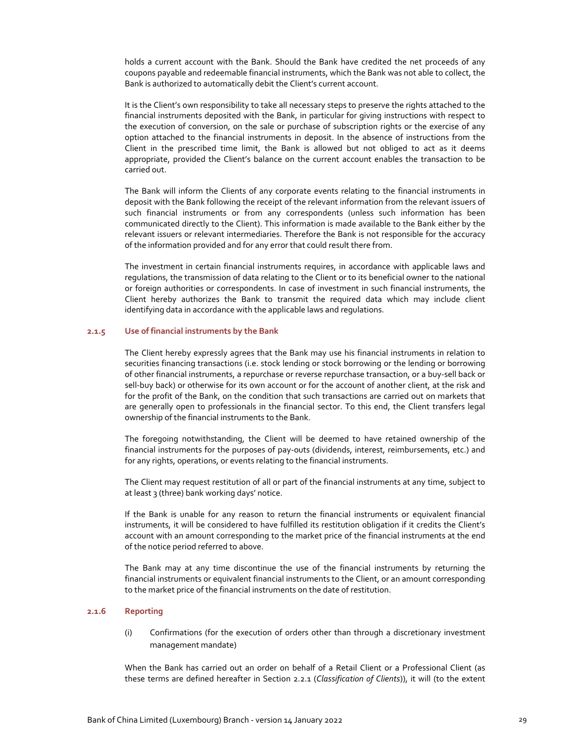holds a current account with the Bank. Should the Bank have credited the net proceeds of any coupons payable and redeemable financial instruments, which the Bank was not able to collect, the Bank is authorized to automatically debit the Client's current account.

It is the Client's own responsibility to take all necessary steps to preserve the rights attached to the financial instruments deposited with the Bank, in particular for giving instructions with respect to the execution of conversion, on the sale or purchase of subscription rights or the exercise of any option attached to the financial instruments in deposit. In the absence of instructions from the Client in the prescribed time limit, the Bank is allowed but not obliged to act as it deems appropriate, provided the Client's balance on the current account enables the transaction to be carried out.

The Bank will inform the Clients of any corporate events relating to the financial instruments in deposit with the Bank following the receipt of the relevant information from the relevant issuers of such financial instruments or from any correspondents (unless such information has been communicated directly to the Client). This information is made available to the Bank either by the relevant issuers or relevant intermediaries. Therefore the Bank is not responsible for the accuracy of the information provided and for any error that could result there from.

The investment in certain financial instruments requires, in accordance with applicable laws and regulations, the transmission of data relating to the Client or to its beneficial owner to the national or foreign authorities or correspondents. In case of investment in such financial instruments, the Client hereby authorizes the Bank to transmit the required data which may include client identifying data in accordance with the applicable laws and regulations.

### **2.1.5 Use of financial instruments by the Bank**

The Client hereby expressly agrees that the Bank may use his financial instruments in relation to securities financing transactions (i.e. stock lending or stock borrowing or the lending or borrowing of other financial instruments, a repurchase or reverse repurchase transaction, or a buy‐sell back or sell-buy back) or otherwise for its own account or for the account of another client, at the risk and for the profit of the Bank, on the condition that such transactions are carried out on markets that are generally open to professionals in the financial sector. To this end, the Client transfers legal ownership of the financial instruments to the Bank.

The foregoing notwithstanding, the Client will be deemed to have retained ownership of the financial instruments for the purposes of pay‐outs (dividends, interest, reimbursements, etc.) and for any rights, operations, or events relating to the financial instruments.

The Client may request restitution of all or part of the financial instruments at any time, subject to at least 3 (three) bank working days' notice.

If the Bank is unable for any reason to return the financial instruments or equivalent financial instruments, it will be considered to have fulfilled its restitution obligation if it credits the Client's account with an amount corresponding to the market price of the financial instruments at the end of the notice period referred to above.

The Bank may at any time discontinue the use of the financial instruments by returning the financial instruments or equivalent financial instruments to the Client, or an amount corresponding to the market price of the financial instruments on the date of restitution.

## **2.1.6 Reporting**

(i) Confirmations (for the execution of orders other than through a discretionary investment management mandate)

When the Bank has carried out an order on behalf of a Retail Client or a Professional Client (as these terms are defined hereafter in Section 2.2.1 (*Classification of Clients*)), it will (to the extent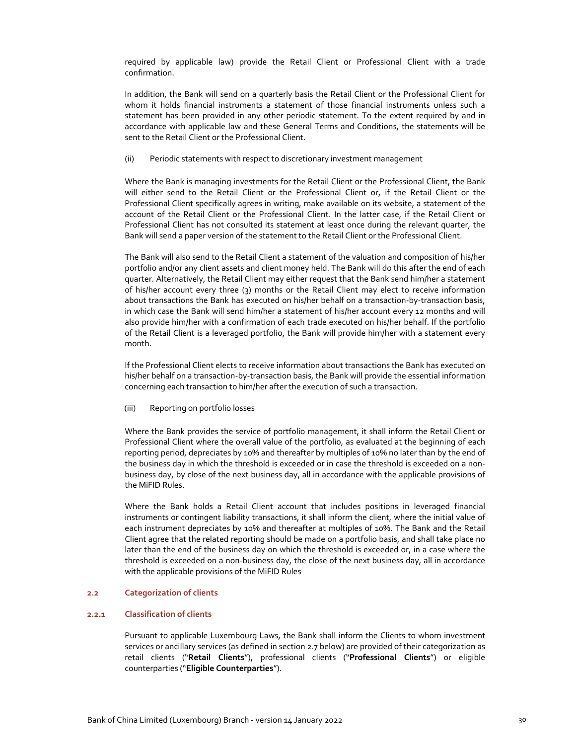required by applicable law) provide the Retail Client or Professional Client with a trade confirmation.

In addition, the Bank will send on a quarterly basis the Retail Client or the Professional Client for whom it holds financial instruments a statement of those financial instruments unless such a statement has been provided in any other periodic statement. To the extent required by and in accordance with applicable law and these General Terms and Conditions, the statements will be sent to the Retail Client or the Professional Client.

#### (ii) Periodic statements with respect to discretionary investment management

Where the Bank is managing investments for the Retail Client or the Professional Client, the Bank will either send to the Retail Client or the Professional Client or, if the Retail Client or the Professional Client specifically agrees in writing, make available on its website, a statement of the account of the Retail Client or the Professional Client. In the latter case, if the Retail Client or Professional Client has not consulted its statement at least once during the relevant quarter, the Bank will send a paper version of the statement to the Retail Client or the Professional Client.

The Bank will also send to the Retail Client a statement of the valuation and composition of his/her portfolio and/or any client assets and client money held. The Bank will do this after the end of each quarter. Alternatively, the Retail Client may either request that the Bank send him/her a statement of his/her account every three (3) months or the Retail Client may elect to receive information about transactions the Bank has executed on his/her behalf on a transaction-by-transaction basis, in which case the Bank will send him/her a statement of his/her account every 12 months and will also provide him/her with a confirmation of each trade executed on his/her behalf. If the portfolio of the Retail Client is a leveraged portfolio, the Bank will provide him/her with a statement every month.

If the Professional Client elects to receive information about transactions the Bank has executed on his/her behalf on a transaction‐by‐transaction basis, the Bank will provide the essential information concerning each transaction to him/her after the execution of such a transaction.

(iii) Reporting on portfolio losses

Where the Bank provides the service of portfolio management, it shall inform the Retail Client or Professional Client where the overall value of the portfolio, as evaluated at the beginning of each reporting period, depreciates by 10% and thereafter by multiples of 10% no later than by the end of the business day in which the threshold is exceeded or in case the threshold is exceeded on a non‐ business day, by close of the next business day, all in accordance with the applicable provisions of the MiFID Rules.

Where the Bank holds a Retail Client account that includes positions in leveraged financial instruments or contingent liability transactions, it shall inform the client, where the initial value of each instrument depreciates by 10% and thereafter at multiples of 10%. The Bank and the Retail Client agree that the related reporting should be made on a portfolio basis, and shall take place no later than the end of the business day on which the threshold is exceeded or, in a case where the threshold is exceeded on a non-business day, the close of the next business day, all in accordance with the applicable provisions of the MiFID Rules

# **2.2 Categorization of clients**

## **2.2.1 Classification of clients**

Pursuant to applicable Luxembourg Laws, the Bank shall inform the Clients to whom investment services or ancillary services (as defined in section 2.7 below) are provided of their categorization as retail clients ("**Retail Clients**"), professional clients ("**Professional Clients**") or eligible counterparties ("**Eligible Counterparties**").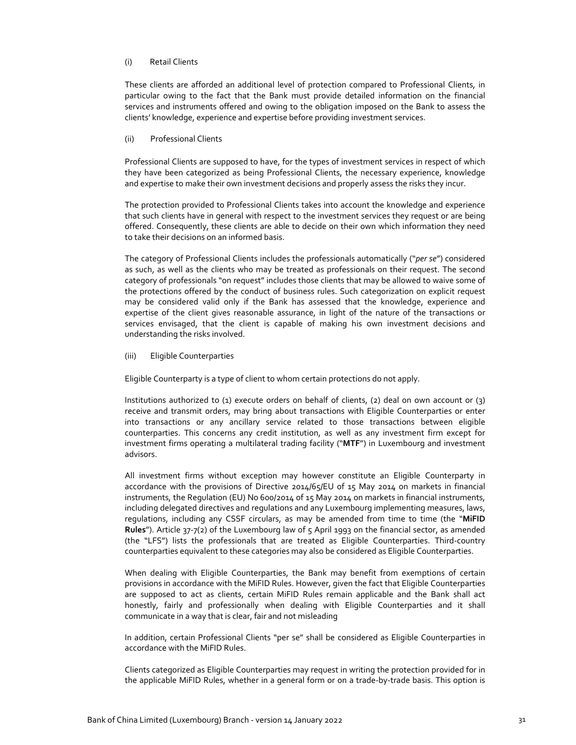## (i) Retail Clients

These clients are afforded an additional level of protection compared to Professional Clients, in particular owing to the fact that the Bank must provide detailed information on the financial services and instruments offered and owing to the obligation imposed on the Bank to assess the clients' knowledge, experience and expertise before providing investment services.

### (ii) Professional Clients

Professional Clients are supposed to have, for the types of investment services in respect of which they have been categorized as being Professional Clients, the necessary experience, knowledge and expertise to make their own investment decisions and properly assess the risks they incur.

The protection provided to Professional Clients takes into account the knowledge and experience that such clients have in general with respect to the investment services they request or are being offered. Consequently, these clients are able to decide on their own which information they need to take their decisions on an informed basis.

The category of Professional Clients includes the professionals automatically ("*per se*") considered as such, as well as the clients who may be treated as professionals on their request. The second category of professionals "on request" includes those clients that may be allowed to waive some of the protections offered by the conduct of business rules. Such categorization on explicit request may be considered valid only if the Bank has assessed that the knowledge, experience and expertise of the client gives reasonable assurance, in light of the nature of the transactions or services envisaged, that the client is capable of making his own investment decisions and understanding the risks involved.

(iii) Eligible Counterparties

Eligible Counterparty is a type of client to whom certain protections do not apply.

Institutions authorized to (1) execute orders on behalf of clients, (2) deal on own account or (3) receive and transmit orders, may bring about transactions with Eligible Counterparties or enter into transactions or any ancillary service related to those transactions between eligible counterparties. This concerns any credit institution, as well as any investment firm except for investment firms operating a multilateral trading facility ("**MTF**") in Luxembourg and investment advisors.

All investment firms without exception may however constitute an Eligible Counterparty in accordance with the provisions of Directive 2014/65/EU of 15 May 2014 on markets in financial instruments, the Regulation (EU) No 600/2014 of 15 May 2014 on markets in financial instruments, including delegated directives and regulations and any Luxembourg implementing measures, laws, regulations, including any CSSF circulars, as may be amended from time to time (the "**MiFID Rules**"). Article 37‐7(2) of the Luxembourg law of 5 April 1993 on the financial sector, as amended (the "LFS") lists the professionals that are treated as Eligible Counterparties. Third‐country counterparties equivalent to these categories may also be considered as Eligible Counterparties.

When dealing with Eligible Counterparties, the Bank may benefit from exemptions of certain provisions in accordance with the MiFID Rules. However, given the fact that Eligible Counterparties are supposed to act as clients, certain MiFID Rules remain applicable and the Bank shall act honestly, fairly and professionally when dealing with Eligible Counterparties and it shall communicate in a way that is clear, fair and not misleading

In addition, certain Professional Clients "per se" shall be considered as Eligible Counterparties in accordance with the MiFID Rules.

Clients categorized as Eligible Counterparties may request in writing the protection provided for in the applicable MiFID Rules, whether in a general form or on a trade‐by‐trade basis. This option is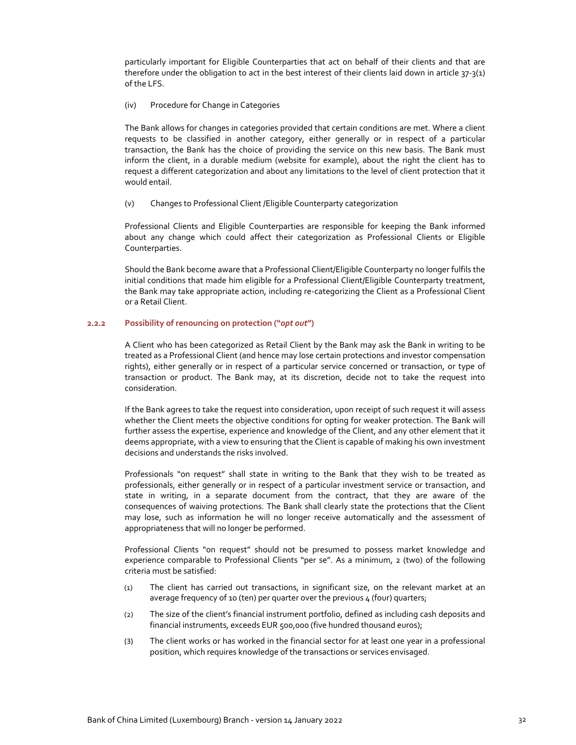particularly important for Eligible Counterparties that act on behalf of their clients and that are therefore under the obligation to act in the best interest of their clients laid down in article 37-3(1) of the LFS.

## (iv) Procedure for Change in Categories

The Bank allows for changes in categories provided that certain conditions are met. Where a client requests to be classified in another category, either generally or in respect of a particular transaction, the Bank has the choice of providing the service on this new basis. The Bank must inform the client, in a durable medium (website for example), about the right the client has to request a different categorization and about any limitations to the level of client protection that it would entail.

(v) Changes to Professional Client /Eligible Counterparty categorization

Professional Clients and Eligible Counterparties are responsible for keeping the Bank informed about any change which could affect their categorization as Professional Clients or Eligible Counterparties.

Should the Bank become aware that a Professional Client/Eligible Counterparty no longer fulfils the initial conditions that made him eligible for a Professional Client/Eligible Counterparty treatment, the Bank may take appropriate action, including re‐categorizing the Client as a Professional Client or a Retail Client.

## **2.2.2 Possibility of renouncing on protection ("***opt out***")**

A Client who has been categorized as Retail Client by the Bank may ask the Bank in writing to be treated as a Professional Client (and hence may lose certain protections and investor compensation rights), either generally or in respect of a particular service concerned or transaction, or type of transaction or product. The Bank may, at its discretion, decide not to take the request into consideration.

If the Bank agrees to take the request into consideration, upon receipt of such request it will assess whether the Client meets the objective conditions for opting for weaker protection. The Bank will further assess the expertise, experience and knowledge of the Client, and any other element that it deems appropriate, with a view to ensuring that the Client is capable of making his own investment decisions and understands the risks involved.

Professionals "on request" shall state in writing to the Bank that they wish to be treated as professionals, either generally or in respect of a particular investment service or transaction, and state in writing, in a separate document from the contract, that they are aware of the consequences of waiving protections. The Bank shall clearly state the protections that the Client may lose, such as information he will no longer receive automatically and the assessment of appropriateness that will no longer be performed.

Professional Clients "on request" should not be presumed to possess market knowledge and experience comparable to Professional Clients "per se". As a minimum, 2 (two) of the following criteria must be satisfied:

- (1) The client has carried out transactions, in significant size, on the relevant market at an average frequency of 10 (ten) per quarter over the previous  $\mu$  (four) quarters;
- (2) The size of the client's financial instrument portfolio, defined as including cash deposits and financial instruments, exceeds EUR 500,000 (five hundred thousand euros);
- (3) The client works or has worked in the financial sector for at least one year in a professional position, which requires knowledge of the transactions or services envisaged.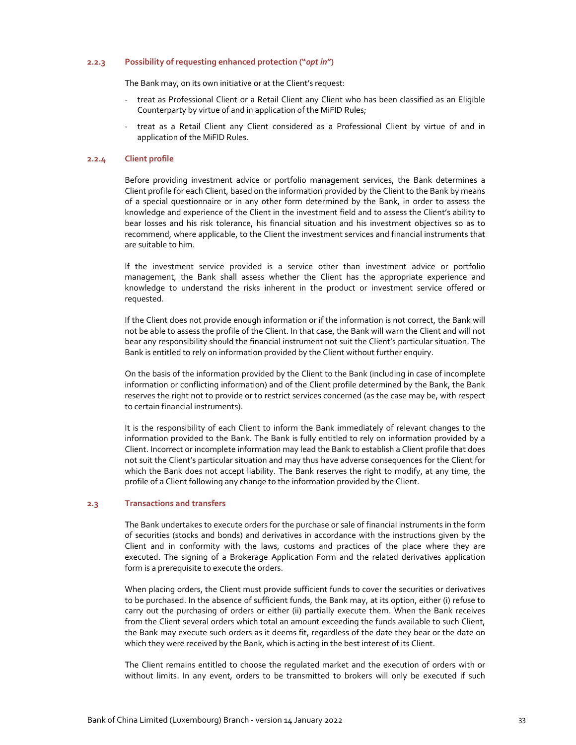## **2.2.3 Possibility of requesting enhanced protection ("***opt in***")**

The Bank may, on its own initiative or at the Client's request:

- ‐ treat as Professional Client or a Retail Client any Client who has been classified as an Eligible Counterparty by virtue of and in application of the MiFID Rules;
- ‐ treat as a Retail Client any Client considered as a Professional Client by virtue of and in application of the MiFID Rules.

#### **2.2.4 Client profile**

Before providing investment advice or portfolio management services, the Bank determines a Client profile for each Client, based on the information provided by the Client to the Bank by means of a special questionnaire or in any other form determined by the Bank, in order to assess the knowledge and experience of the Client in the investment field and to assess the Client's ability to bear losses and his risk tolerance, his financial situation and his investment objectives so as to recommend, where applicable, to the Client the investment services and financial instruments that are suitable to him.

If the investment service provided is a service other than investment advice or portfolio management, the Bank shall assess whether the Client has the appropriate experience and knowledge to understand the risks inherent in the product or investment service offered or requested.

If the Client does not provide enough information or if the information is not correct, the Bank will not be able to assess the profile of the Client. In that case, the Bank will warn the Client and will not bear any responsibility should the financial instrument not suit the Client's particular situation. The Bank is entitled to rely on information provided by the Client without further enquiry.

On the basis of the information provided by the Client to the Bank (including in case of incomplete information or conflicting information) and of the Client profile determined by the Bank, the Bank reserves the right not to provide or to restrict services concerned (as the case may be, with respect to certain financial instruments).

It is the responsibility of each Client to inform the Bank immediately of relevant changes to the information provided to the Bank. The Bank is fully entitled to rely on information provided by a Client. Incorrect or incomplete information may lead the Bank to establish a Client profile that does not suit the Client's particular situation and may thus have adverse consequences for the Client for which the Bank does not accept liability. The Bank reserves the right to modify, at any time, the profile of a Client following any change to the information provided by the Client.

#### **2.3 Transactions and transfers**

The Bank undertakes to execute orders for the purchase or sale of financial instruments in the form of securities (stocks and bonds) and derivatives in accordance with the instructions given by the Client and in conformity with the laws, customs and practices of the place where they are executed. The signing of a Brokerage Application Form and the related derivatives application form is a prerequisite to execute the orders.

When placing orders, the Client must provide sufficient funds to cover the securities or derivatives to be purchased. In the absence of sufficient funds, the Bank may, at its option, either (i) refuse to carry out the purchasing of orders or either (ii) partially execute them. When the Bank receives from the Client several orders which total an amount exceeding the funds available to such Client, the Bank may execute such orders as it deems fit, regardless of the date they bear or the date on which they were received by the Bank, which is acting in the best interest of its Client.

The Client remains entitled to choose the regulated market and the execution of orders with or without limits. In any event, orders to be transmitted to brokers will only be executed if such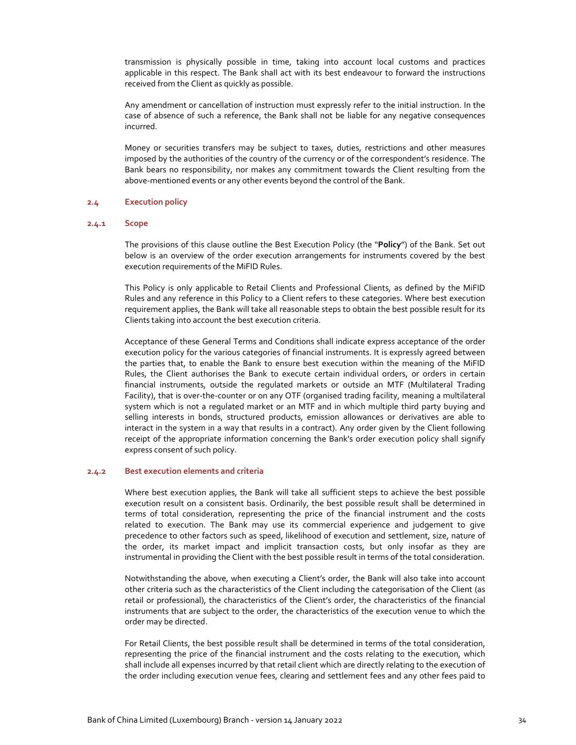transmission is physically possible in time, taking into account local customs and practices applicable in this respect. The Bank shall act with its best endeavour to forward the instructions received from the Client as quickly as possible.

Any amendment or cancellation of instruction must expressly refer to the initial instruction. In the case of absence of such a reference, the Bank shall not be liable for any negative consequences incurred.

Money or securities transfers may be subject to taxes, duties, restrictions and other measures imposed by the authorities of the country of the currency or of the correspondent's residence. The Bank bears no responsibility, nor makes any commitment towards the Client resulting from the above‐mentioned events or any other events beyond the control of the Bank.

## **2.4 Execution policy**

## **2.4.1 Scope**

The provisions of this clause outline the Best Execution Policy (the "**Policy**") of the Bank. Set out below is an overview of the order execution arrangements for instruments covered by the best execution requirements of the MiFID Rules.

This Policy is only applicable to Retail Clients and Professional Clients, as defined by the MiFID Rules and any reference in this Policy to a Client refers to these categories. Where best execution requirement applies, the Bank will take all reasonable steps to obtain the best possible result for its Clients taking into account the best execution criteria.

Acceptance of these General Terms and Conditions shall indicate express acceptance of the order execution policy for the various categories of financial instruments. It is expressly agreed between the parties that, to enable the Bank to ensure best execution within the meaning of the MiFID Rules, the Client authorises the Bank to execute certain individual orders, or orders in certain financial instruments, outside the regulated markets or outside an MTF (Multilateral Trading Facility), that is over-the-counter or on any OTF (organised trading facility, meaning a multilateral system which is not a regulated market or an MTF and in which multiple third party buying and selling interests in bonds, structured products, emission allowances or derivatives are able to interact in the system in a way that results in a contract). Any order given by the Client following receipt of the appropriate information concerning the Bank's order execution policy shall signify express consent of such policy.

## **2.4.2 Best execution elements and criteria**

Where best execution applies, the Bank will take all sufficient steps to achieve the best possible execution result on a consistent basis. Ordinarily, the best possible result shall be determined in terms of total consideration, representing the price of the financial instrument and the costs related to execution. The Bank may use its commercial experience and judgement to give precedence to other factors such as speed, likelihood of execution and settlement, size, nature of the order, its market impact and implicit transaction costs, but only insofar as they are instrumental in providing the Client with the best possible result in terms of the total consideration.

Notwithstanding the above, when executing a Client's order, the Bank will also take into account other criteria such as the characteristics of the Client including the categorisation of the Client (as retail or professional), the characteristics of the Client's order, the characteristics of the financial instruments that are subject to the order, the characteristics of the execution venue to which the order may be directed.

For Retail Clients, the best possible result shall be determined in terms of the total consideration, representing the price of the financial instrument and the costs relating to the execution, which shall include all expenses incurred by that retail client which are directly relating to the execution of the order including execution venue fees, clearing and settlement fees and any other fees paid to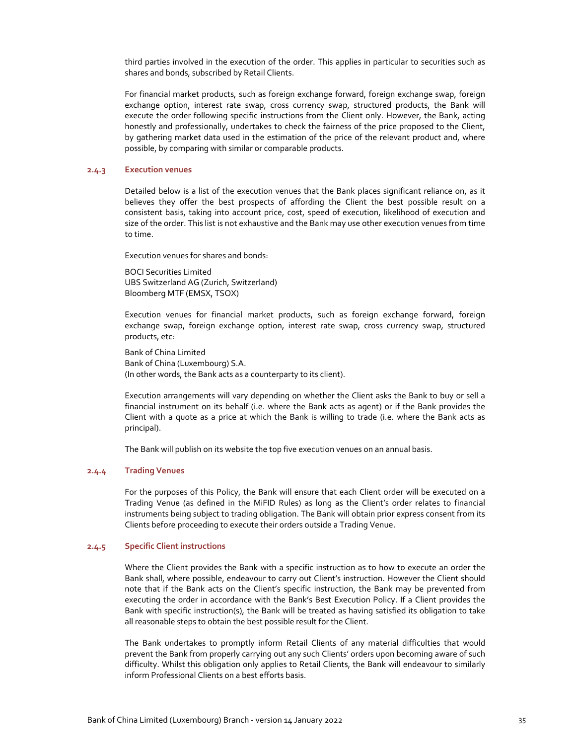third parties involved in the execution of the order. This applies in particular to securities such as shares and bonds, subscribed by Retail Clients.

For financial market products, such as foreign exchange forward, foreign exchange swap, foreign exchange option, interest rate swap, cross currency swap, structured products, the Bank will execute the order following specific instructions from the Client only. However, the Bank, acting honestly and professionally, undertakes to check the fairness of the price proposed to the Client, by gathering market data used in the estimation of the price of the relevant product and, where possible, by comparing with similar or comparable products.

## **2.4.3 Execution venues**

Detailed below is a list of the execution venues that the Bank places significant reliance on, as it believes they offer the best prospects of affording the Client the best possible result on a consistent basis, taking into account price, cost, speed of execution, likelihood of execution and size of the order. This list is not exhaustive and the Bank may use other execution venues from time to time.

Execution venues for shares and bonds:

BOCI Securities Limited UBS Switzerland AG (Zurich, Switzerland) Bloomberg MTF (EMSX, TSOX)

Execution venues for financial market products, such as foreign exchange forward, foreign exchange swap, foreign exchange option, interest rate swap, cross currency swap, structured products, etc:

Bank of China Limited Bank of China (Luxembourg) S.A. (In other words, the Bank acts as a counterparty to its client).

Execution arrangements will vary depending on whether the Client asks the Bank to buy or sell a financial instrument on its behalf (i.e. where the Bank acts as agent) or if the Bank provides the Client with a quote as a price at which the Bank is willing to trade (i.e. where the Bank acts as principal).

The Bank will publish on its website the top five execution venues on an annual basis.

## **2.4.4 Trading Venues**

For the purposes of this Policy, the Bank will ensure that each Client order will be executed on a Trading Venue (as defined in the MiFID Rules) as long as the Client's order relates to financial instruments being subject to trading obligation. The Bank will obtain prior express consent from its Clients before proceeding to execute their orders outside a Trading Venue.

#### **2.4.5 Specific Client instructions**

Where the Client provides the Bank with a specific instruction as to how to execute an order the Bank shall, where possible, endeavour to carry out Client's instruction. However the Client should note that if the Bank acts on the Client's specific instruction, the Bank may be prevented from executing the order in accordance with the Bank's Best Execution Policy. If a Client provides the Bank with specific instruction(s), the Bank will be treated as having satisfied its obligation to take all reasonable steps to obtain the best possible result for the Client.

The Bank undertakes to promptly inform Retail Clients of any material difficulties that would prevent the Bank from properly carrying out any such Clients' orders upon becoming aware of such difficulty. Whilst this obligation only applies to Retail Clients, the Bank will endeavour to similarly inform Professional Clients on a best efforts basis.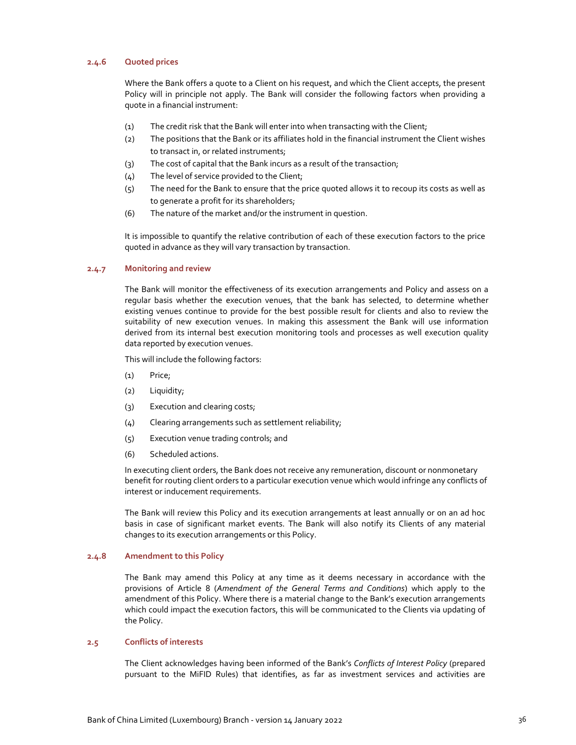## **2.4.6 Quoted prices**

Where the Bank offers a quote to a Client on his request, and which the Client accepts, the present Policy will in principle not apply. The Bank will consider the following factors when providing a quote in a financial instrument:

- (1) The credit risk that the Bank will enter into when transacting with the Client;
- (2) The positions that the Bank or its affiliates hold in the financial instrument the Client wishes to transact in, or related instruments;
- (3) The cost of capital that the Bank incurs as a result of the transaction;
- (4) The level of service provided to the Client;
- (5) The need for the Bank to ensure that the price quoted allows it to recoup its costs as well as to generate a profit for its shareholders;
- (6) The nature of the market and/or the instrument in question.

It is impossible to quantify the relative contribution of each of these execution factors to the price quoted in advance as they will vary transaction by transaction.

## **2.4.7 Monitoring and review**

The Bank will monitor the effectiveness of its execution arrangements and Policy and assess on a regular basis whether the execution venues, that the bank has selected, to determine whether existing venues continue to provide for the best possible result for clients and also to review the suitability of new execution venues. In making this assessment the Bank will use information derived from its internal best execution monitoring tools and processes as well execution quality data reported by execution venues.

This will include the following factors:

- (1) Price;
- (2) Liquidity;
- (3) Execution and clearing costs;
- (4) Clearing arrangements such as settlement reliability;
- (5) Execution venue trading controls; and
- (6) Scheduled actions.

In executing client orders, the Bank does not receive any remuneration, discount or nonmonetary benefit for routing client orders to a particular execution venue which would infringe any conflicts of interest or inducement requirements.

The Bank will review this Policy and its execution arrangements at least annually or on an ad hoc basis in case of significant market events. The Bank will also notify its Clients of any material changes to its execution arrangements or this Policy.

#### **2.4.8 Amendment to this Policy**

The Bank may amend this Policy at any time as it deems necessary in accordance with the provisions of Article 8 (*Amendment of the General Terms and Conditions*) which apply to the amendment of this Policy. Where there is a material change to the Bank's execution arrangements which could impact the execution factors, this will be communicated to the Clients via updating of the Policy.

## **2.5 Conflicts of interests**

The Client acknowledges having been informed of the Bank's *Conflicts of Interest Policy* (prepared pursuant to the MiFID Rules) that identifies, as far as investment services and activities are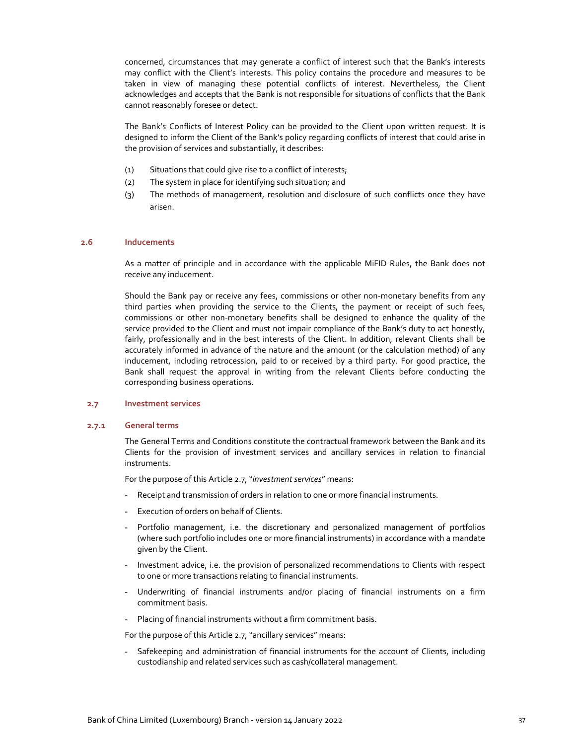concerned, circumstances that may generate a conflict of interest such that the Bank's interests may conflict with the Client's interests. This policy contains the procedure and measures to be taken in view of managing these potential conflicts of interest. Nevertheless, the Client acknowledges and accepts that the Bank is not responsible for situations of conflicts that the Bank cannot reasonably foresee or detect.

The Bank's Conflicts of Interest Policy can be provided to the Client upon written request. It is designed to inform the Client of the Bank's policy regarding conflicts of interest that could arise in the provision of services and substantially, it describes:

- (1) Situations that could give rise to a conflict of interests;
- (2) The system in place for identifying such situation; and
- (3) The methods of management, resolution and disclosure of such conflicts once they have arisen.

#### **2.6 Inducements**

As a matter of principle and in accordance with the applicable MiFID Rules, the Bank does not receive any inducement.

Should the Bank pay or receive any fees, commissions or other non‐monetary benefits from any third parties when providing the service to the Clients, the payment or receipt of such fees, commissions or other non‐monetary benefits shall be designed to enhance the quality of the service provided to the Client and must not impair compliance of the Bank's duty to act honestly, fairly, professionally and in the best interests of the Client. In addition, relevant Clients shall be accurately informed in advance of the nature and the amount (or the calculation method) of any inducement, including retrocession, paid to or received by a third party. For good practice, the Bank shall request the approval in writing from the relevant Clients before conducting the corresponding business operations.

#### **2.7 Investment services**

#### **2.7.1 General terms**

The General Terms and Conditions constitute the contractual framework between the Bank and its Clients for the provision of investment services and ancillary services in relation to financial instruments.

For the purpose of this Article 2.7, "*investment services*" means:

- Receipt and transmission of orders in relation to one or more financial instruments.
- Execution of orders on behalf of Clients.
- Portfolio management, i.e. the discretionary and personalized management of portfolios (where such portfolio includes one or more financial instruments) in accordance with a mandate given by the Client.
- Investment advice, i.e. the provision of personalized recommendations to Clients with respect to one or more transactions relating to financial instruments.
- Underwriting of financial instruments and/or placing of financial instruments on a firm commitment basis.
- Placing of financial instruments without a firm commitment basis.

For the purpose of this Article 2.7, "ancillary services" means:

- Safekeeping and administration of financial instruments for the account of Clients, including custodianship and related services such as cash/collateral management.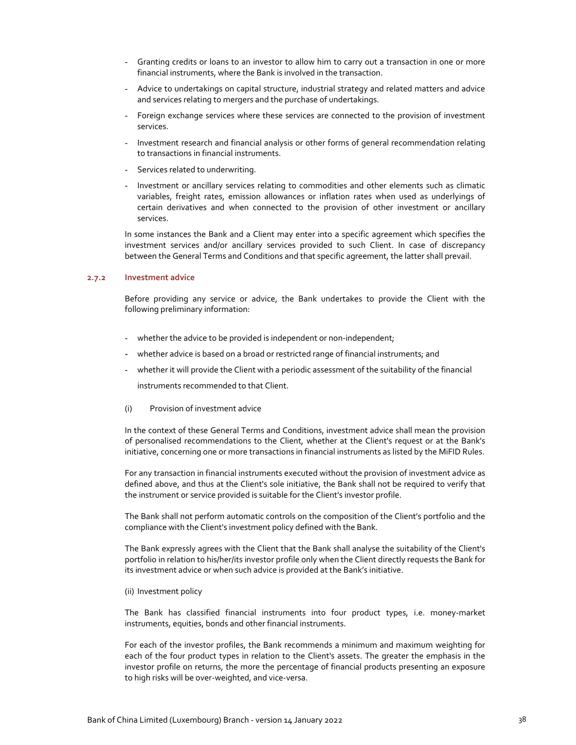- Granting credits or loans to an investor to allow him to carry out a transaction in one or more financial instruments, where the Bank is involved in the transaction.
- Advice to undertakings on capital structure, industrial strategy and related matters and advice and services relating to mergers and the purchase of undertakings.
- Foreign exchange services where these services are connected to the provision of investment services.
- Investment research and financial analysis or other forms of general recommendation relating to transactions in financial instruments.
- Services related to underwriting.
- Investment or ancillary services relating to commodities and other elements such as climatic variables, freight rates, emission allowances or inflation rates when used as underlyings of certain derivatives and when connected to the provision of other investment or ancillary services.

In some instances the Bank and a Client may enter into a specific agreement which specifies the investment services and/or ancillary services provided to such Client. In case of discrepancy between the General Terms and Conditions and that specific agreement, the latter shall prevail.

#### **2.7.2 Investment advice**

Before providing any service or advice, the Bank undertakes to provide the Client with the following preliminary information:

- whether the advice to be provided is independent or non-independent;
- whether advice is based on a broad or restricted range of financial instruments; and
- whether it will provide the Client with a periodic assessment of the suitability of the financial

instruments recommended to that Client.

(i) Provision of investment advice

In the context of these General Terms and Conditions, investment advice shall mean the provision of personalised recommendations to the Client, whether at the Client's request or at the Bank's initiative, concerning one or more transactions in financial instruments as listed by the MiFID Rules.

For any transaction in financial instruments executed without the provision of investment advice as defined above, and thus at the Client's sole initiative, the Bank shall not be required to verify that the instrument or service provided is suitable for the Client's investor profile.

The Bank shall not perform automatic controls on the composition of the Client's portfolio and the compliance with the Client's investment policy defined with the Bank.

The Bank expressly agrees with the Client that the Bank shall analyse the suitability of the Client's portfolio in relation to his/her/its investor profile only when the Client directly requests the Bank for its investment advice or when such advice is provided at the Bank's initiative.

(ii) Investment policy

The Bank has classified financial instruments into four product types, i.e. money‐market instruments, equities, bonds and other financial instruments.

For each of the investor profiles, the Bank recommends a minimum and maximum weighting for each of the four product types in relation to the Client's assets. The greater the emphasis in the investor profile on returns, the more the percentage of financial products presenting an exposure to high risks will be over‐weighted, and vice‐versa.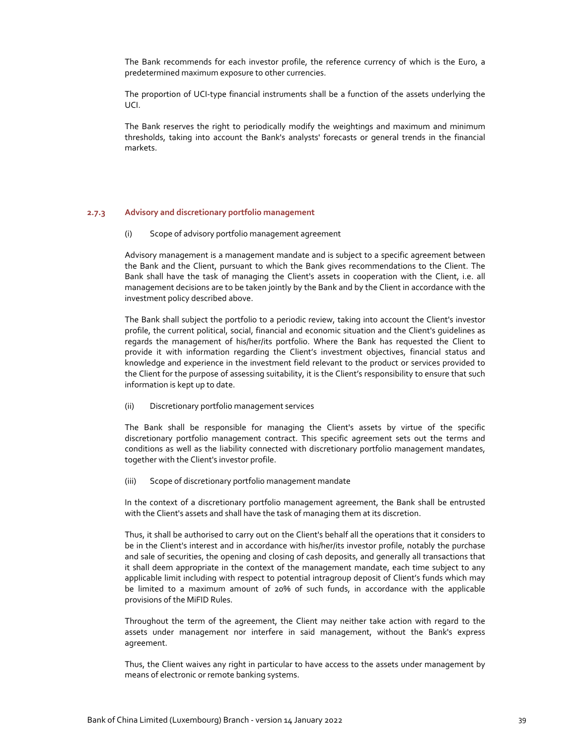The Bank recommends for each investor profile, the reference currency of which is the Euro, a predetermined maximum exposure to other currencies.

The proportion of UCI-type financial instruments shall be a function of the assets underlying the UCI.

The Bank reserves the right to periodically modify the weightings and maximum and minimum thresholds, taking into account the Bank's analysts' forecasts or general trends in the financial markets.

## **2.7.3 Advisory and discretionary portfolio management**

(i) Scope of advisory portfolio management agreement

Advisory management is a management mandate and is subject to a specific agreement between the Bank and the Client, pursuant to which the Bank gives recommendations to the Client. The Bank shall have the task of managing the Client's assets in cooperation with the Client, i.e. all management decisions are to be taken jointly by the Bank and by the Client in accordance with the investment policy described above.

The Bank shall subject the portfolio to a periodic review, taking into account the Client's investor profile, the current political, social, financial and economic situation and the Client's guidelines as regards the management of his/her/its portfolio. Where the Bank has requested the Client to provide it with information regarding the Client's investment objectives, financial status and knowledge and experience in the investment field relevant to the product or services provided to the Client for the purpose of assessing suitability, it is the Client's responsibility to ensure that such information is kept up to date.

(ii) Discretionary portfolio management services

The Bank shall be responsible for managing the Client's assets by virtue of the specific discretionary portfolio management contract. This specific agreement sets out the terms and conditions as well as the liability connected with discretionary portfolio management mandates, together with the Client's investor profile.

(iii) Scope of discretionary portfolio management mandate

In the context of a discretionary portfolio management agreement, the Bank shall be entrusted with the Client's assets and shall have the task of managing them at its discretion.

Thus, it shall be authorised to carry out on the Client's behalf all the operations that it considers to be in the Client's interest and in accordance with his/her/its investor profile, notably the purchase and sale of securities, the opening and closing of cash deposits, and generally all transactions that it shall deem appropriate in the context of the management mandate, each time subject to any applicable limit including with respect to potential intragroup deposit of Client's funds which may be limited to a maximum amount of 20% of such funds, in accordance with the applicable provisions of the MiFID Rules.

Throughout the term of the agreement, the Client may neither take action with regard to the assets under management nor interfere in said management, without the Bank's express agreement.

Thus, the Client waives any right in particular to have access to the assets under management by means of electronic or remote banking systems.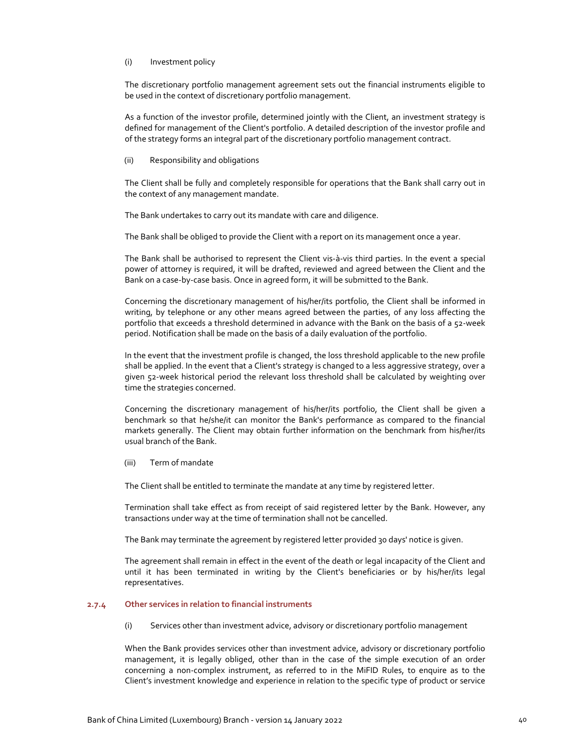### (i) Investment policy

The discretionary portfolio management agreement sets out the financial instruments eligible to be used in the context of discretionary portfolio management.

As a function of the investor profile, determined jointly with the Client, an investment strategy is defined for management of the Client's portfolio. A detailed description of the investor profile and of the strategy forms an integral part of the discretionary portfolio management contract.

(ii) Responsibility and obligations

The Client shall be fully and completely responsible for operations that the Bank shall carry out in the context of any management mandate.

The Bank undertakes to carry out its mandate with care and diligence.

The Bank shall be obliged to provide the Client with a report on its management once a year.

The Bank shall be authorised to represent the Client vis‐à‐vis third parties. In the event a special power of attorney is required, it will be drafted, reviewed and agreed between the Client and the Bank on a case‐by‐case basis. Once in agreed form, it will be submitted to the Bank.

Concerning the discretionary management of his/her/its portfolio, the Client shall be informed in writing, by telephone or any other means agreed between the parties, of any loss affecting the portfolio that exceeds a threshold determined in advance with the Bank on the basis of a 52‐week period. Notification shall be made on the basis of a daily evaluation of the portfolio.

In the event that the investment profile is changed, the loss threshold applicable to the new profile shall be applied. In the event that a Client's strategy is changed to a less aggressive strategy, over a given 52‐week historical period the relevant loss threshold shall be calculated by weighting over time the strategies concerned.

Concerning the discretionary management of his/her/its portfolio, the Client shall be given a benchmark so that he/she/it can monitor the Bank's performance as compared to the financial markets generally. The Client may obtain further information on the benchmark from his/her/its usual branch of the Bank.

(iii) Term of mandate

The Client shall be entitled to terminate the mandate at any time by registered letter.

Termination shall take effect as from receipt of said registered letter by the Bank. However, any transactions under way at the time of termination shall not be cancelled.

The Bank may terminate the agreement by registered letter provided 30 days' notice is given.

The agreement shall remain in effect in the event of the death or legal incapacity of the Client and until it has been terminated in writing by the Client's beneficiaries or by his/her/its legal representatives.

## **2.7.4 Other services in relation to financial instruments**

(i) Services other than investment advice, advisory or discretionary portfolio management

When the Bank provides services other than investment advice, advisory or discretionary portfolio management, it is legally obliged, other than in the case of the simple execution of an order concerning a non‐complex instrument, as referred to in the MiFID Rules, to enquire as to the Client's investment knowledge and experience in relation to the specific type of product or service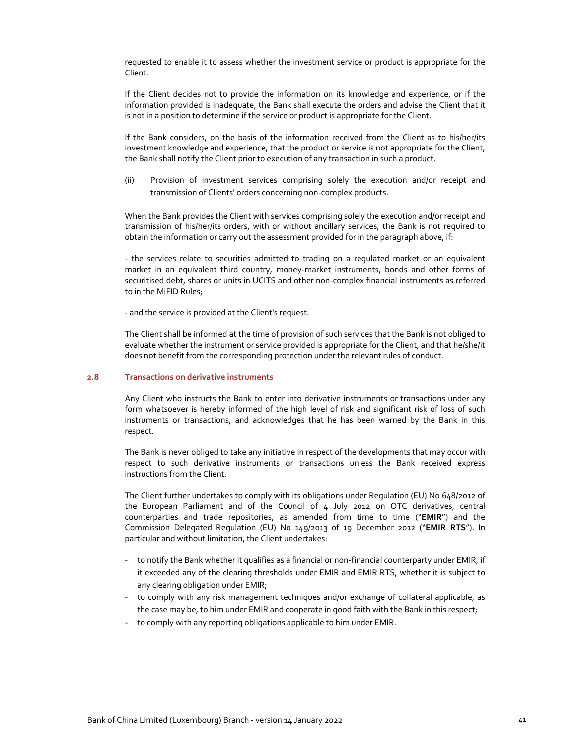requested to enable it to assess whether the investment service or product is appropriate for the Client.

If the Client decides not to provide the information on its knowledge and experience, or if the information provided is inadequate, the Bank shall execute the orders and advise the Client that it is not in a position to determine if the service or product is appropriate for the Client.

If the Bank considers, on the basis of the information received from the Client as to his/her/its investment knowledge and experience, that the product or service is not appropriate for the Client, the Bank shall notify the Client prior to execution of any transaction in such a product.

(ii) Provision of investment services comprising solely the execution and/or receipt and transmission of Clients' orders concerning non‐complex products.

When the Bank provides the Client with services comprising solely the execution and/or receipt and transmission of his/her/its orders, with or without ancillary services, the Bank is not required to obtain the information or carry out the assessment provided for in the paragraph above, if:

‐ the services relate to securities admitted to trading on a regulated market or an equivalent market in an equivalent third country, money-market instruments, bonds and other forms of securitised debt, shares or units in UCITS and other non‐complex financial instruments as referred to in the MiFID Rules;

‐ and the service is provided at the Client's request.

The Client shall be informed at the time of provision of such services that the Bank is not obliged to evaluate whether the instrument or service provided is appropriate for the Client, and that he/she/it does not benefit from the corresponding protection under the relevant rules of conduct.

#### **2.8 Transactions on derivative instruments**

Any Client who instructs the Bank to enter into derivative instruments or transactions under any form whatsoever is hereby informed of the high level of risk and significant risk of loss of such instruments or transactions, and acknowledges that he has been warned by the Bank in this respect.

The Bank is never obliged to take any initiative in respect of the developments that may occur with respect to such derivative instruments or transactions unless the Bank received express instructions from the Client.

The Client further undertakes to comply with its obligations under Regulation (EU) No 648/2012 of the European Parliament and of the Council of 4 July 2012 on OTC derivatives, central counterparties and trade repositories, as amended from time to time ("**EMIR**") and the Commission Delegated Regulation (EU) No 149/2013 of 19 December 2012 ("**EMIR RTS**"). In particular and without limitation, the Client undertakes:

- to notify the Bank whether it qualifies as a financial or non‐financial counterparty under EMIR, if it exceeded any of the clearing thresholds under EMIR and EMIR RTS, whether it is subject to any clearing obligation under EMIR;
- to comply with any risk management techniques and/or exchange of collateral applicable, as the case may be, to him under EMIR and cooperate in good faith with the Bank in this respect;
- to comply with any reporting obligations applicable to him under EMIR.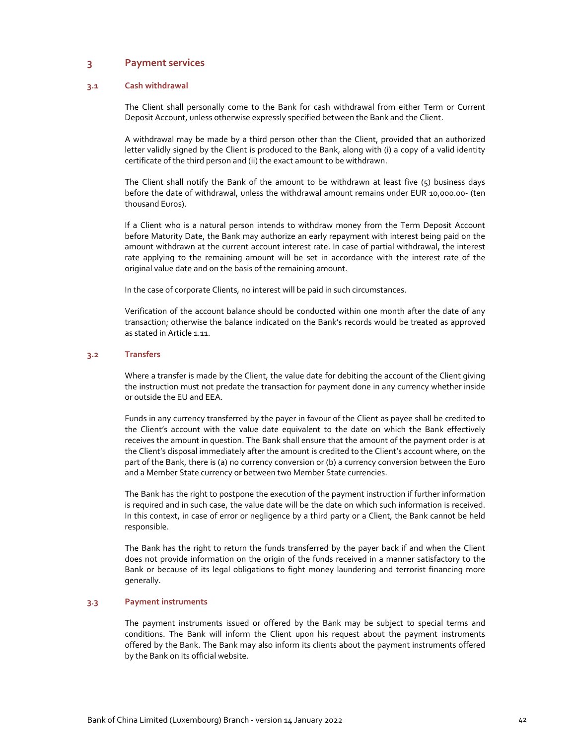# **3 Payment services**

## **3.1 Cash withdrawal**

The Client shall personally come to the Bank for cash withdrawal from either Term or Current Deposit Account, unless otherwise expressly specified between the Bank and the Client.

A withdrawal may be made by a third person other than the Client, provided that an authorized letter validly signed by the Client is produced to the Bank, along with (i) a copy of a valid identity certificate of the third person and (ii) the exact amount to be withdrawn.

The Client shall notify the Bank of the amount to be withdrawn at least five (5) business days before the date of withdrawal, unless the withdrawal amount remains under EUR 10,000.00‐ (ten thousand Euros).

If a Client who is a natural person intends to withdraw money from the Term Deposit Account before Maturity Date, the Bank may authorize an early repayment with interest being paid on the amount withdrawn at the current account interest rate. In case of partial withdrawal, the interest rate applying to the remaining amount will be set in accordance with the interest rate of the original value date and on the basis of the remaining amount.

In the case of corporate Clients, no interest will be paid in such circumstances.

Verification of the account balance should be conducted within one month after the date of any transaction; otherwise the balance indicated on the Bank's records would be treated as approved as stated in Article 1.11.

## **3.2 Transfers**

Where a transfer is made by the Client, the value date for debiting the account of the Client giving the instruction must not predate the transaction for payment done in any currency whether inside or outside the EU and EEA.

Funds in any currency transferred by the payer in favour of the Client as payee shall be credited to the Client's account with the value date equivalent to the date on which the Bank effectively receives the amount in question. The Bank shall ensure that the amount of the payment order is at the Client's disposal immediately after the amount is credited to the Client's account where, on the part of the Bank, there is (a) no currency conversion or (b) a currency conversion between the Euro and a Member State currency or between two Member State currencies.

The Bank has the right to postpone the execution of the payment instruction if further information is required and in such case, the value date will be the date on which such information is received. In this context, in case of error or negligence by a third party or a Client, the Bank cannot be held responsible.

The Bank has the right to return the funds transferred by the payer back if and when the Client does not provide information on the origin of the funds received in a manner satisfactory to the Bank or because of its legal obligations to fight money laundering and terrorist financing more generally.

## **3.3 Payment instruments**

The payment instruments issued or offered by the Bank may be subject to special terms and conditions. The Bank will inform the Client upon his request about the payment instruments offered by the Bank. The Bank may also inform its clients about the payment instruments offered by the Bank on its official website.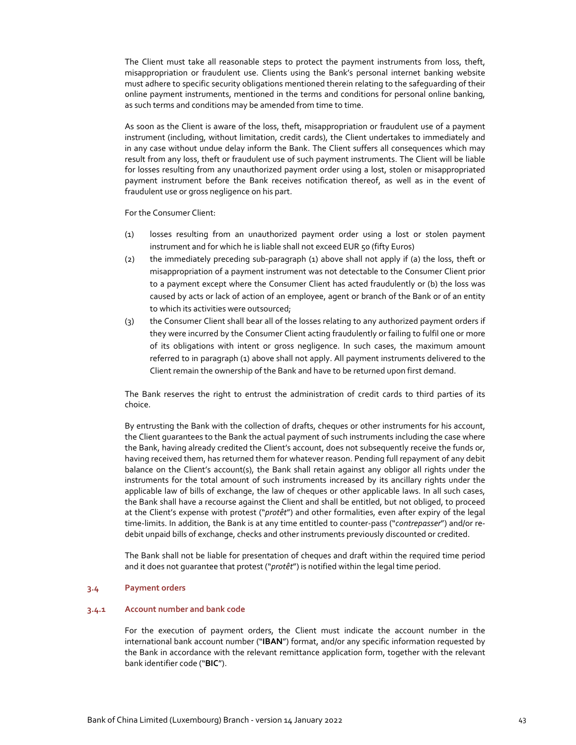The Client must take all reasonable steps to protect the payment instruments from loss, theft, misappropriation or fraudulent use. Clients using the Bank's personal internet banking website must adhere to specific security obligations mentioned therein relating to the safeguarding of their online payment instruments, mentioned in the terms and conditions for personal online banking, as such terms and conditions may be amended from time to time.

As soon as the Client is aware of the loss, theft, misappropriation or fraudulent use of a payment instrument (including, without limitation, credit cards), the Client undertakes to immediately and in any case without undue delay inform the Bank. The Client suffers all consequences which may result from any loss, theft or fraudulent use of such payment instruments. The Client will be liable for losses resulting from any unauthorized payment order using a lost, stolen or misappropriated payment instrument before the Bank receives notification thereof, as well as in the event of fraudulent use or gross negligence on his part.

For the Consumer Client:

- (1) losses resulting from an unauthorized payment order using a lost or stolen payment instrument and for which he is liable shall not exceed EUR 50 (fifty Euros)
- (2) the immediately preceding sub‐paragraph (1) above shall not apply if (a) the loss, theft or misappropriation of a payment instrument was not detectable to the Consumer Client prior to a payment except where the Consumer Client has acted fraudulently or (b) the loss was caused by acts or lack of action of an employee, agent or branch of the Bank or of an entity to which its activities were outsourced;
- (3) the Consumer Client shall bear all of the losses relating to any authorized payment orders if they were incurred by the Consumer Client acting fraudulently or failing to fulfil one or more of its obligations with intent or gross negligence. In such cases, the maximum amount referred to in paragraph (1) above shall not apply. All payment instruments delivered to the Client remain the ownership of the Bank and have to be returned upon first demand.

The Bank reserves the right to entrust the administration of credit cards to third parties of its choice.

By entrusting the Bank with the collection of drafts, cheques or other instruments for his account, the Client guarantees to the Bank the actual payment of such instruments including the case where the Bank, having already credited the Client's account, does not subsequently receive the funds or, having received them, has returned them for whatever reason. Pending full repayment of any debit balance on the Client's account(s), the Bank shall retain against any obligor all rights under the instruments for the total amount of such instruments increased by its ancillary rights under the applicable law of bills of exchange, the law of cheques or other applicable laws. In all such cases, the Bank shall have a recourse against the Client and shall be entitled, but not obliged, to proceed at the Client's expense with protest ("*protêt*") and other formalities, even after expiry of the legal time‐limits. In addition, the Bank is at any time entitled to counter‐pass ("*contrepasser*") and/or re‐ debit unpaid bills of exchange, checks and other instruments previously discounted or credited.

The Bank shall not be liable for presentation of cheques and draft within the required time period and it does not guarantee that protest ("protêt") is notified within the legal time period.

#### **3.4 Payment orders**

#### **3.4.1 Account number and bank code**

For the execution of payment orders, the Client must indicate the account number in the international bank account number ("**IBAN**") format, and/or any specific information requested by the Bank in accordance with the relevant remittance application form, together with the relevant bank identifier code ("**BIC**").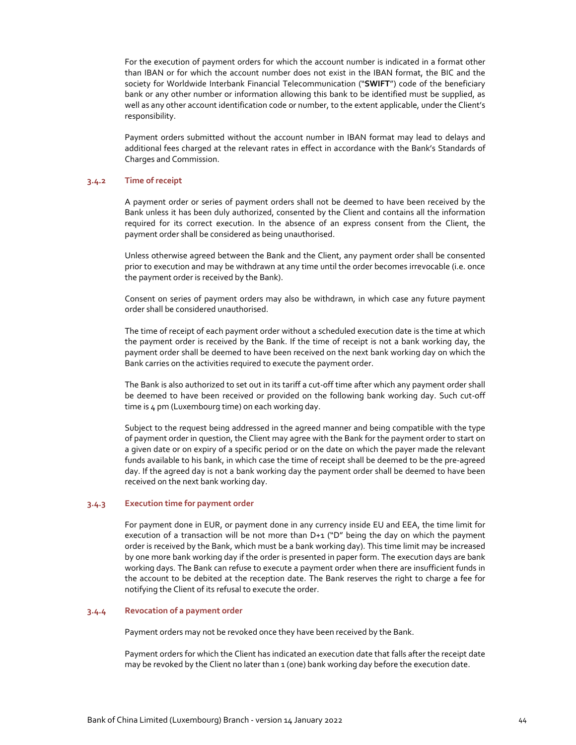For the execution of payment orders for which the account number is indicated in a format other than IBAN or for which the account number does not exist in the IBAN format, the BIC and the society for Worldwide Interbank Financial Telecommunication ("**SWIFT**") code of the beneficiary bank or any other number or information allowing this bank to be identified must be supplied, as well as any other account identification code or number, to the extent applicable, under the Client's responsibility.

Payment orders submitted without the account number in IBAN format may lead to delays and additional fees charged at the relevant rates in effect in accordance with the Bank's Standards of Charges and Commission.

### **3.4.2 Time of receipt**

A payment order or series of payment orders shall not be deemed to have been received by the Bank unless it has been duly authorized, consented by the Client and contains all the information required for its correct execution. In the absence of an express consent from the Client, the payment order shall be considered as being unauthorised.

Unless otherwise agreed between the Bank and the Client, any payment order shall be consented prior to execution and may be withdrawn at any time until the order becomes irrevocable (i.e. once the payment order is received by the Bank).

Consent on series of payment orders may also be withdrawn, in which case any future payment order shall be considered unauthorised.

The time of receipt of each payment order without a scheduled execution date is the time at which the payment order is received by the Bank. If the time of receipt is not a bank working day, the payment order shall be deemed to have been received on the next bank working day on which the Bank carries on the activities required to execute the payment order.

The Bank is also authorized to set out in its tariff a cut‐off time after which any payment order shall be deemed to have been received or provided on the following bank working day. Such cut‐off time is 4 pm (Luxembourg time) on each working day.

Subject to the request being addressed in the agreed manner and being compatible with the type of payment order in question, the Client may agree with the Bank for the payment order to start on a given date or on expiry of a specific period or on the date on which the payer made the relevant funds available to his bank, in which case the time of receipt shall be deemed to be the pre‐agreed day. If the agreed day is not a bank working day the payment order shall be deemed to have been received on the next bank working day.

### **3.4.3 Execution time for payment order**

For payment done in EUR, or payment done in any currency inside EU and EEA, the time limit for execution of a transaction will be not more than  $D+1$  ("D" being the day on which the payment order is received by the Bank, which must be a bank working day). This time limit may be increased by one more bank working day if the order is presented in paper form. The execution days are bank working days. The Bank can refuse to execute a payment order when there are insufficient funds in the account to be debited at the reception date. The Bank reserves the right to charge a fee for notifying the Client of its refusal to execute the order.

### **3.4.4 Revocation of a payment order**

Payment orders may not be revoked once they have been received by the Bank.

Payment orders for which the Client has indicated an execution date that falls after the receipt date may be revoked by the Client no later than 1 (one) bank working day before the execution date.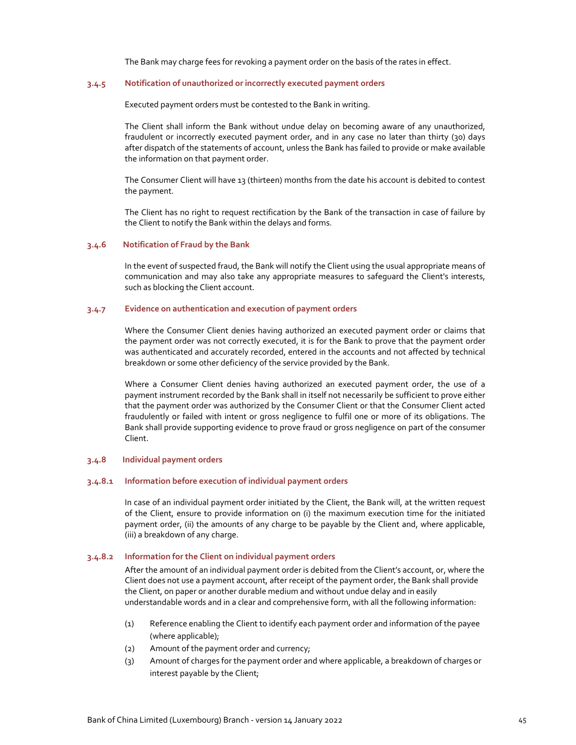The Bank may charge fees for revoking a payment order on the basis of the rates in effect.

## **3.4.5 Notification of unauthorized or incorrectly executed payment orders**

Executed payment orders must be contested to the Bank in writing.

The Client shall inform the Bank without undue delay on becoming aware of any unauthorized, fraudulent or incorrectly executed payment order, and in any case no later than thirty (30) days after dispatch of the statements of account, unless the Bank has failed to provide or make available the information on that payment order.

The Consumer Client will have 13 (thirteen) months from the date his account is debited to contest the payment.

The Client has no right to request rectification by the Bank of the transaction in case of failure by the Client to notify the Bank within the delays and forms.

### **3.4.6 Notification of Fraud by the Bank**

In the event of suspected fraud, the Bank will notify the Client using the usual appropriate means of communication and may also take any appropriate measures to safeguard the Client's interests, such as blocking the Client account.

## **3.4.7 Evidence on authentication and execution of payment orders**

Where the Consumer Client denies having authorized an executed payment order or claims that the payment order was not correctly executed, it is for the Bank to prove that the payment order was authenticated and accurately recorded, entered in the accounts and not affected by technical breakdown or some other deficiency of the service provided by the Bank.

Where a Consumer Client denies having authorized an executed payment order, the use of a payment instrument recorded by the Bank shall in itself not necessarily be sufficient to prove either that the payment order was authorized by the Consumer Client or that the Consumer Client acted fraudulently or failed with intent or gross negligence to fulfil one or more of its obligations. The Bank shall provide supporting evidence to prove fraud or gross negligence on part of the consumer Client.

#### **3.4.8 Individual payment orders**

#### **3.4.8.1 Information before execution of individual payment orders**

In case of an individual payment order initiated by the Client, the Bank will, at the written request of the Client, ensure to provide information on (i) the maximum execution time for the initiated payment order, (ii) the amounts of any charge to be payable by the Client and, where applicable, (iii) a breakdown of any charge.

#### **3.4.8.2 Information for the Client on individual payment orders**

After the amount of an individual payment order is debited from the Client's account, or, where the Client does not use a payment account, after receipt of the payment order, the Bank shall provide the Client, on paper or another durable medium and without undue delay and in easily understandable words and in a clear and comprehensive form, with all the following information:

- (1) Reference enabling the Client to identify each payment order and information of the payee (where applicable);
- (2) Amount of the payment order and currency;
- (3) Amount of charges for the payment order and where applicable, a breakdown of charges or interest payable by the Client;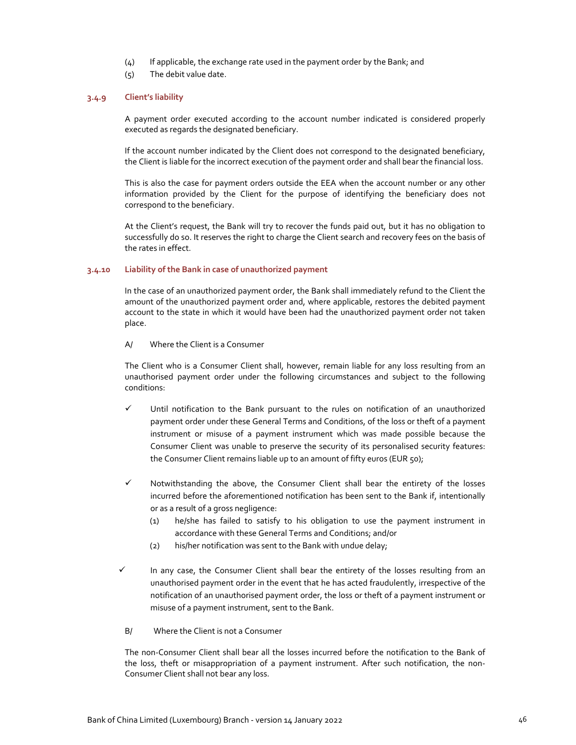- (4) If applicable, the exchange rate used in the payment order by the Bank; and
- (5) The debit value date.

## **3.4.9 Client's liability**

A payment order executed according to the account number indicated is considered properly executed as regards the designated beneficiary.

If the account number indicated by the Client does not correspond to the designated beneficiary, the Client is liable for the incorrect execution of the payment order and shall bear the financial loss.

This is also the case for payment orders outside the EEA when the account number or any other information provided by the Client for the purpose of identifying the beneficiary does not correspond to the beneficiary.

At the Client's request, the Bank will try to recover the funds paid out, but it has no obligation to successfully do so. It reserves the right to charge the Client search and recovery fees on the basis of the rates in effect.

## **3.4.10 Liability of the Bank in case of unauthorized payment**

In the case of an unauthorized payment order, the Bank shall immediately refund to the Client the amount of the unauthorized payment order and, where applicable, restores the debited payment account to the state in which it would have been had the unauthorized payment order not taken place.

A/ Where the Client is a Consumer

The Client who is a Consumer Client shall, however, remain liable for any loss resulting from an unauthorised payment order under the following circumstances and subject to the following conditions:

- $\checkmark$  Until notification to the Bank pursuant to the rules on notification of an unauthorized payment order under these General Terms and Conditions, of the loss or theft of a payment instrument or misuse of a payment instrument which was made possible because the Consumer Client was unable to preserve the security of its personalised security features: the Consumer Client remains liable up to an amount of fifty euros (EUR 50);
- $\checkmark$  Notwithstanding the above, the Consumer Client shall bear the entirety of the losses incurred before the aforementioned notification has been sent to the Bank if, intentionally or as a result of a gross negligence:
	- (1) he/she has failed to satisfy to his obligation to use the payment instrument in accordance with these General Terms and Conditions; and/or
	- (2) his/her notification was sent to the Bank with undue delay;
- $\checkmark$  In any case, the Consumer Client shall bear the entirety of the losses resulting from an unauthorised payment order in the event that he has acted fraudulently, irrespective of the notification of an unauthorised payment order, the loss or theft of a payment instrument or misuse of a payment instrument, sent to the Bank.
	- B/ Where the Client is not a Consumer

The non‐Consumer Client shall bear all the losses incurred before the notification to the Bank of the loss, theft or misappropriation of a payment instrument. After such notification, the non-Consumer Client shall not bear any loss.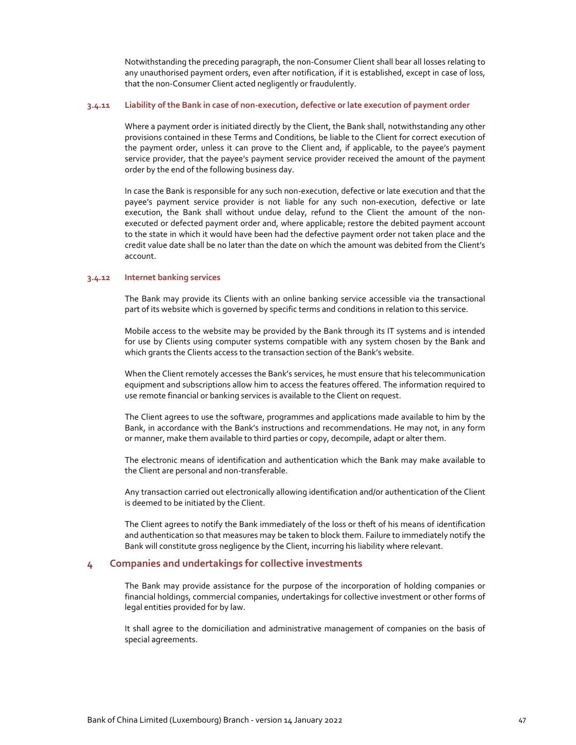Notwithstanding the preceding paragraph, the non‐Consumer Client shall bear all losses relating to any unauthorised payment orders, even after notification, if it is established, except in case of loss, that the non‐Consumer Client acted negligently or fraudulently.

#### 3.4.11 Liability of the Bank in case of non-execution, defective or late execution of payment order

Where a payment order is initiated directly by the Client, the Bank shall, notwithstanding any other provisions contained in these Terms and Conditions, be liable to the Client for correct execution of the payment order, unless it can prove to the Client and, if applicable, to the payee's payment service provider, that the payee's payment service provider received the amount of the payment order by the end of the following business day.

In case the Bank is responsible for any such non‐execution, defective or late execution and that the payee's payment service provider is not liable for any such non-execution, defective or late execution, the Bank shall without undue delay, refund to the Client the amount of the nonexecuted or defected payment order and, where applicable; restore the debited payment account to the state in which it would have been had the defective payment order not taken place and the credit value date shall be no later than the date on which the amount was debited from the Client's account.

#### **3.4.12 Internet banking services**

The Bank may provide its Clients with an online banking service accessible via the transactional part of its website which is governed by specific terms and conditions in relation to this service.

Mobile access to the website may be provided by the Bank through its IT systems and is intended for use by Clients using computer systems compatible with any system chosen by the Bank and which grants the Clients access to the transaction section of the Bank's website.

When the Client remotely accesses the Bank's services, he must ensure that his telecommunication equipment and subscriptions allow him to access the features offered. The information required to use remote financial or banking services is available to the Client on request.

The Client agrees to use the software, programmes and applications made available to him by the Bank, in accordance with the Bank's instructions and recommendations. He may not, in any form or manner, make them available to third parties or copy, decompile, adapt or alter them.

The electronic means of identification and authentication which the Bank may make available to the Client are personal and non-transferable.

Any transaction carried out electronically allowing identification and/or authentication of the Client is deemed to be initiated by the Client.

The Client agrees to notify the Bank immediately of the loss or theft of his means of identification and authentication so that measures may be taken to block them. Failure to immediately notify the Bank will constitute gross negligence by the Client, incurring his liability where relevant.

## **4 Companies and undertakings for collective investments**

The Bank may provide assistance for the purpose of the incorporation of holding companies or financial holdings, commercial companies, undertakings for collective investment or other forms of legal entities provided for by law.

It shall agree to the domiciliation and administrative management of companies on the basis of special agreements.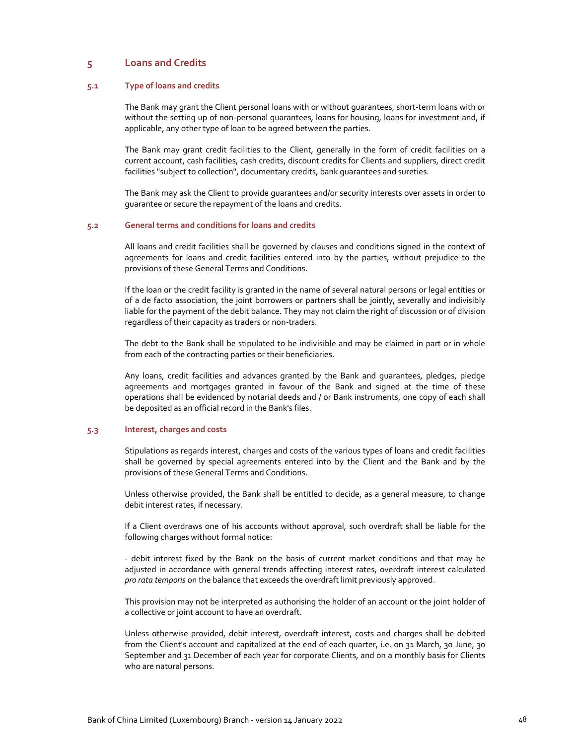# **5 Loans and Credits**

## **5.1 Type of loans and credits**

The Bank may grant the Client personal loans with or without guarantees, short‐term loans with or without the setting up of non-personal guarantees, loans for housing, loans for investment and, if applicable, any other type of loan to be agreed between the parties.

The Bank may grant credit facilities to the Client, generally in the form of credit facilities on a current account, cash facilities, cash credits, discount credits for Clients and suppliers, direct credit facilities "subject to collection", documentary credits, bank guarantees and sureties.

The Bank may ask the Client to provide guarantees and/or security interests over assets in order to guarantee or secure the repayment of the loans and credits.

#### **5.2 General terms and conditions for loans and credits**

All loans and credit facilities shall be governed by clauses and conditions signed in the context of agreements for loans and credit facilities entered into by the parties, without prejudice to the provisions of these General Terms and Conditions.

If the loan or the credit facility is granted in the name of several natural persons or legal entities or of a de facto association, the joint borrowers or partners shall be jointly, severally and indivisibly liable for the payment of the debit balance. They may not claim the right of discussion or of division regardless of their capacity as traders or non-traders.

The debt to the Bank shall be stipulated to be indivisible and may be claimed in part or in whole from each of the contracting parties or their beneficiaries.

Any loans, credit facilities and advances granted by the Bank and guarantees, pledges, pledge agreements and mortgages granted in favour of the Bank and signed at the time of these operations shall be evidenced by notarial deeds and / or Bank instruments, one copy of each shall be deposited as an official record in the Bank's files.

## **5.3 Interest, charges and costs**

Stipulations as regards interest, charges and costs of the various types of loans and credit facilities shall be governed by special agreements entered into by the Client and the Bank and by the provisions of these General Terms and Conditions.

Unless otherwise provided, the Bank shall be entitled to decide, as a general measure, to change debit interest rates, if necessary.

If a Client overdraws one of his accounts without approval, such overdraft shall be liable for the following charges without formal notice:

‐ debit interest fixed by the Bank on the basis of current market conditions and that may be adjusted in accordance with general trends affecting interest rates, overdraft interest calculated *pro rata temporis* on the balance that exceeds the overdraft limit previously approved.

This provision may not be interpreted as authorising the holder of an account or the joint holder of a collective or joint account to have an overdraft.

Unless otherwise provided, debit interest, overdraft interest, costs and charges shall be debited from the Client's account and capitalized at the end of each quarter, i.e. on 31 March, 30 June, 30 September and 31 December of each year for corporate Clients, and on a monthly basis for Clients who are natural persons.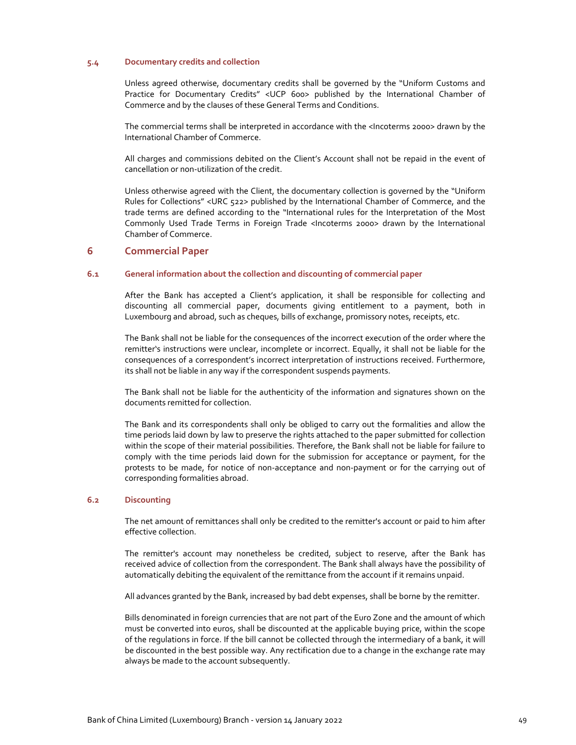## **5.4 Documentary credits and collection**

Unless agreed otherwise, documentary credits shall be governed by the "Uniform Customs and Practice for Documentary Credits" <UCP 600> published by the International Chamber of Commerce and by the clauses of these General Terms and Conditions.

The commercial terms shall be interpreted in accordance with the <Incoterms 2000> drawn by the International Chamber of Commerce.

All charges and commissions debited on the Client's Account shall not be repaid in the event of cancellation or non‐utilization of the credit.

Unless otherwise agreed with the Client, the documentary collection is governed by the "Uniform Rules for Collections" <URC 522> published by the International Chamber of Commerce, and the trade terms are defined according to the "International rules for the Interpretation of the Most Commonly Used Trade Terms in Foreign Trade <Incoterms 2000> drawn by the International Chamber of Commerce.

## **6 Commercial Paper**

## **6.1 General information about the collection and discounting of commercial paper**

After the Bank has accepted a Client's application, it shall be responsible for collecting and discounting all commercial paper, documents giving entitlement to a payment, both in Luxembourg and abroad, such as cheques, bills of exchange, promissory notes, receipts, etc.

The Bank shall not be liable for the consequences of the incorrect execution of the order where the remitter's instructions were unclear, incomplete or incorrect. Equally, it shall not be liable for the consequences of a correspondent's incorrect interpretation of instructions received. Furthermore, its shall not be liable in any way if the correspondent suspends payments.

The Bank shall not be liable for the authenticity of the information and signatures shown on the documents remitted for collection.

The Bank and its correspondents shall only be obliged to carry out the formalities and allow the time periods laid down by law to preserve the rights attached to the paper submitted for collection within the scope of their material possibilities. Therefore, the Bank shall not be liable for failure to comply with the time periods laid down for the submission for acceptance or payment, for the protests to be made, for notice of non‐acceptance and non‐payment or for the carrying out of corresponding formalities abroad.

## **6.2 Discounting**

The net amount of remittances shall only be credited to the remitter's account or paid to him after effective collection.

The remitter's account may nonetheless be credited, subject to reserve, after the Bank has received advice of collection from the correspondent. The Bank shall always have the possibility of automatically debiting the equivalent of the remittance from the account if it remains unpaid.

All advances granted by the Bank, increased by bad debt expenses, shall be borne by the remitter.

Bills denominated in foreign currencies that are not part of the Euro Zone and the amount of which must be converted into euros, shall be discounted at the applicable buying price, within the scope of the regulations in force. If the bill cannot be collected through the intermediary of a bank, it will be discounted in the best possible way. Any rectification due to a change in the exchange rate may always be made to the account subsequently.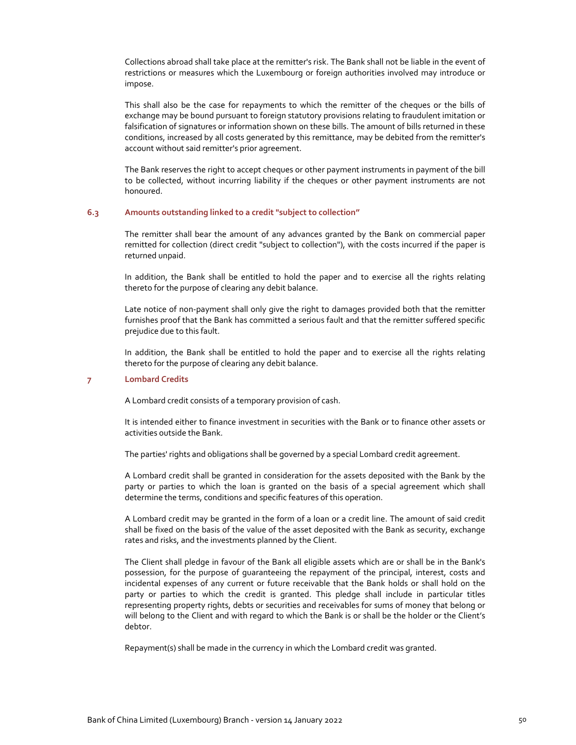Collections abroad shall take place at the remitter's risk. The Bank shall not be liable in the event of restrictions or measures which the Luxembourg or foreign authorities involved may introduce or impose.

This shall also be the case for repayments to which the remitter of the cheques or the bills of exchange may be bound pursuant to foreign statutory provisions relating to fraudulent imitation or falsification of signatures or information shown on these bills. The amount of bills returned in these conditions, increased by all costs generated by this remittance, may be debited from the remitter's account without said remitter's prior agreement.

The Bank reserves the right to accept cheques or other payment instruments in payment of the bill to be collected, without incurring liability if the cheques or other payment instruments are not honoured.

## **6.3 Amounts outstanding linked to a credit "subject to collection"**

The remitter shall bear the amount of any advances granted by the Bank on commercial paper remitted for collection (direct credit "subject to collection"), with the costs incurred if the paper is returned unpaid.

In addition, the Bank shall be entitled to hold the paper and to exercise all the rights relating thereto for the purpose of clearing any debit balance.

Late notice of non‐payment shall only give the right to damages provided both that the remitter furnishes proof that the Bank has committed a serious fault and that the remitter suffered specific prejudice due to this fault.

In addition, the Bank shall be entitled to hold the paper and to exercise all the rights relating thereto for the purpose of clearing any debit balance.

#### **7 Lombard Credits**

A Lombard credit consists of a temporary provision of cash.

It is intended either to finance investment in securities with the Bank or to finance other assets or activities outside the Bank.

The parties' rights and obligations shall be governed by a special Lombard credit agreement.

A Lombard credit shall be granted in consideration for the assets deposited with the Bank by the party or parties to which the loan is granted on the basis of a special agreement which shall determine the terms, conditions and specific features of this operation.

A Lombard credit may be granted in the form of a loan or a credit line. The amount of said credit shall be fixed on the basis of the value of the asset deposited with the Bank as security, exchange rates and risks, and the investments planned by the Client.

The Client shall pledge in favour of the Bank all eligible assets which are or shall be in the Bank's possession, for the purpose of guaranteeing the repayment of the principal, interest, costs and incidental expenses of any current or future receivable that the Bank holds or shall hold on the party or parties to which the credit is granted. This pledge shall include in particular titles representing property rights, debts or securities and receivables for sums of money that belong or will belong to the Client and with regard to which the Bank is or shall be the holder or the Client's debtor.

Repayment(s) shall be made in the currency in which the Lombard credit was granted.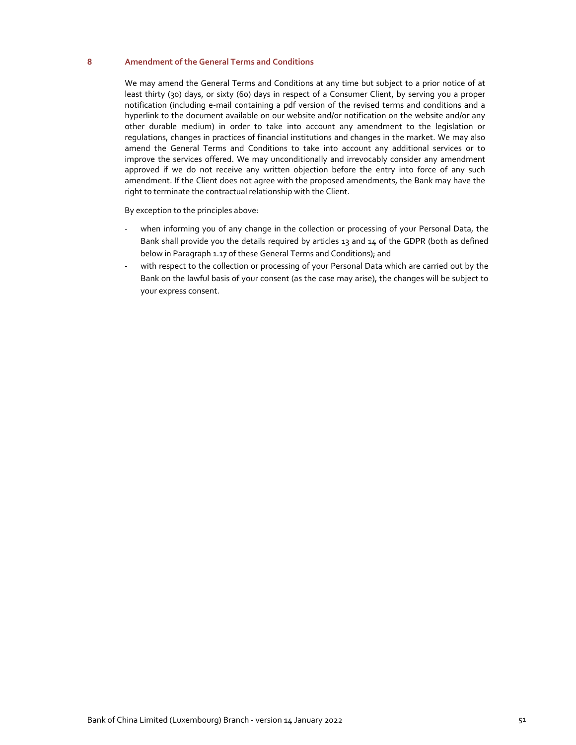## **8 Amendment of the General Terms and Conditions**

We may amend the General Terms and Conditions at any time but subject to a prior notice of at least thirty (30) days, or sixty (60) days in respect of a Consumer Client, by serving you a proper notification (including e‐mail containing a pdf version of the revised terms and conditions and a hyperlink to the document available on our website and/or notification on the website and/or any other durable medium) in order to take into account any amendment to the legislation or regulations, changes in practices of financial institutions and changes in the market. We may also amend the General Terms and Conditions to take into account any additional services or to improve the services offered. We may unconditionally and irrevocably consider any amendment approved if we do not receive any written objection before the entry into force of any such amendment. If the Client does not agree with the proposed amendments, the Bank may have the right to terminate the contractual relationship with the Client.

By exception to the principles above:

- when informing you of any change in the collection or processing of your Personal Data, the Bank shall provide you the details required by articles 13 and 14 of the GDPR (both as defined below in Paragraph 1.17 of these General Terms and Conditions); and
- with respect to the collection or processing of your Personal Data which are carried out by the Bank on the lawful basis of your consent (as the case may arise), the changes will be subject to your express consent.